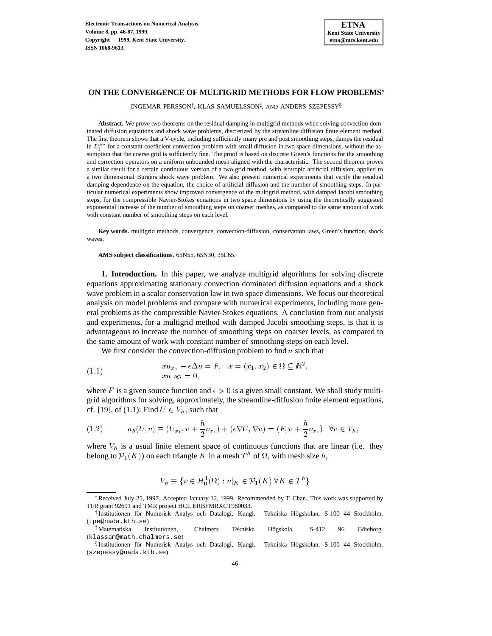# **ON THE CONVERGENCE OF MULTIGRID METHODS FOR FLOW PROBLEMS**

INGEMAR PERSSON†, KLAS SAMUELSSON‡, AND ANDERS SZEPESSY $\S$ 

**Abstract.** We prove two theorems on the residual damping in multigrid methods when solving convection dominated diffusion equations and shock wave problems, discretized by the streamline diffusion finite element method. The first theorem shows that a V-cycle, including sufficiently many pre and post smoothing steps, damps the residual in  $L_1^{loc}$  for a constant coefficient convection problem with small diffusion in two space dimensions, without the assumption that the coarse grid is sufficiently fine. The proof is based on discrete Green's functions for the smoothing and correction operators on a uniform unbounded mesh aligned with the characteristic. The second theorem proves a similar result for a certain continuous version of a two grid method, with isotropic artificial diffusion, applied to a two dimensional Burgers shock wave problem. We also present numerical experiments that verify the residual damping dependence on the equation, the choice of artificial diffusion and the number of smoothing steps. In particular numerical experiments show improved convergence of the multigrid method, with damped Jacobi smoothing steps, for the compressible Navier-Stokes equations in two space dimensions by using the theoretically suggested exponential increase of the number of smoothing steps on coarser meshes, as compared to the same amount of work with constant number of smoothing steps on each level.

**Key words.** multigrid methods, convergence, convection-diffusion, conservation laws, Green's function, shock waves.

**AMS subject classifications.** 65N55, 65N30, 35L65.

**1. Introduction.** In this paper, we analyze multigrid algorithms for solving discrete equations approximating stationary convection dominated diffusion equations and a shock wave problem in a scalar conservation law in two space dimensions. We focus our theoretical analysis on model problems and compare with numerical experiments, including more general problems as the compressible Navier-Stokes equations. A conclusion from our analysis and experiments, for a multigrid method with damped Jacobi smoothing steps, is that it is advantageous to increase the number of smoothing steps on coarser levels, as compared to the same amount of work with constant number of smoothing steps on each level.

We first consider the convection-diffusion problem to find  $u$  such that

(1.1) 
$$
xu_{x_1} - \epsilon \Delta u = F, \quad x = (x_1, x_2) \in \Omega \subseteq \mathbb{R}^2,
$$

$$
xu|_{\partial \Omega} = 0,
$$

where F is a given source function and  $\epsilon > 0$  is a given small constant. We shall study multigrid algorithms for solving, approximately, the streamline-diffusion finite element equations, cf. [19], of (1.1): Find  $U \in V_h$ , such that

(1.2) 
$$
a_h(U, v) \equiv (U_{x_1}, v + \frac{h}{2}v_{x_1}) + (\epsilon \nabla U, \nabla v) = (F, v + \frac{h}{2}v_{x_1}) \quad \forall v \in V_h,
$$

where  $V_h$  is a usual finite element space of continuous functions that are linear (i.e. they belong to  $\mathcal{P}_1(K)$ ) on each triangle K in a mesh  $T^h$  of  $\Omega$ , with mesh size h,

$$
V_h \equiv \{ v \in H_0^1(\Omega) : v|_K \in \mathcal{P}_1(K) \,\forall K \in T^h \}
$$

<sup>\*</sup>Received July 25, 1997. Accepted January 12, 1999. Recommended by T. Chan. This work was supported by TFR grant 92691 and TMR project HCL ERBFMRXCT960033.

<sup>&</sup>lt;sup>†</sup> Institutionen för Numerisk Analys och Datalogi, Kungl. Tekniska Högskolan, S-100 44 Stockholm. (ipe@nada.kth.se)

<sup>‡</sup>Matematiska Institutionen, Chalmers Tekniska Högskola, S-412 96 Göteborg. (klassam@math.chalmers.se)

<sup>&</sup>lt;sup>§</sup> Institutionen för Numerisk Analys och Datalogi, Kungl. Tekniska Högskolan, S-100 44 Stockholm. (szepessy@nada.kth.se)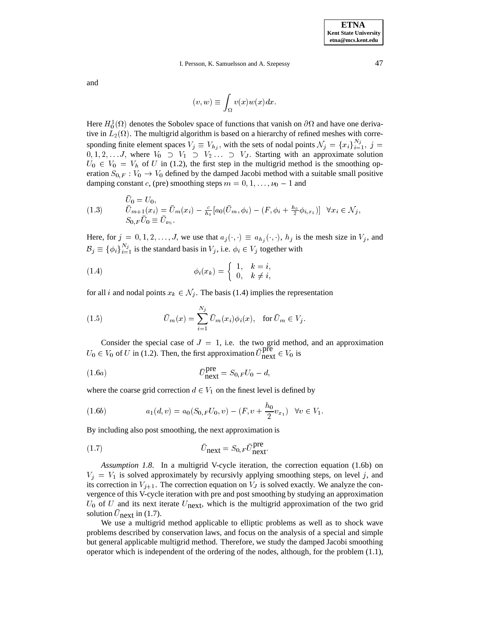and

$$
(v, w) \equiv \int_{\Omega} v(x) w(x) dx.
$$

Here  $H_0^1(\Omega)$  denotes the Sobolev space of functions that vanish on  $\partial\Omega$  and have one derivative in  $L_2(\Omega)$ . The multigrid algorithm is based on a hierarchy of refined meshes with corresponding finite element spaces  $V_j \equiv V_{h_j}$ , with the sets of nodal points  $\mathcal{N}_j = \{x_i\}_{i=1}^{N_j}$ ,  $j =$  $0, 1, 2, \ldots J$ , where  $V_0 \supset V_1 \supset V_2 \ldots \supset V_J$ . Starting with an approximate solution  $U_0 \in V_0 = V_h$  of U in (1.2), the first step in the multigrid method is the smoothing operation  $S_{0,F}: V_0 \to V_0$  defined by the damped Jacobi method with a suitable small positive damping constant c, (pre) smoothing steps  $m = 0, 1, \ldots, \nu_0 - 1$  and

$$
(1.3) \t\t\t\t\t\overline{U}_{m+1}(x_i) = \overline{U}_m(x_i) - \frac{c}{h_0} [a_0(\overline{U}_m, \phi_i) - (F, \phi_i + \frac{h_0}{2} \phi_{i,x_1})] \quad \forall x_i \in \mathcal{N}_j,\n S_{0,F} \overline{U}_0 \equiv \overline{U}_{\nu_0}.
$$

Here, for  $j = 0, 1, 2, \ldots, J$ , we use that  $a_j(\cdot, \cdot) \equiv a_{h_j}(\cdot, \cdot)$ ,  $h_j$  is the mesh size in  $V_j$ , and  $\mathcal{B}_j \equiv \{\phi_i\}_{i=1}^{N_j}$  is the standard basis in  $V_j$ , i.e.  $\phi_i \in V_j$  together with

(1.4) 
$$
\phi_i(x_k) = \begin{cases} 1, & k = i, \\ 0, & k \neq i, \end{cases}
$$

for all i and nodal points  $x_k \in \mathcal{N}_j$ . The basis (1.4) implies the representation

(1.5) 
$$
\bar{U}_m(x) = \sum_{i=1}^{N_j} \bar{U}_m(x_i) \phi_i(x), \text{ for } \bar{U}_m \in V_j.
$$

Consider the special case of  $J = 1$ , i.e. the two grid method, and an approximation  $U_0 \in V_0$  of U in (1.2). Then, the first approximation  $\overline{U}_{\text{next}}^{\text{pre}} \in V_0$  is

$$
\bar{U}_{\text{next}}^{\text{pre}} = S_{0,F} U_0 - d,
$$

where the coarse grid correction  $d \in V_1$  on the finest level is defined by

(1.6b) 
$$
a_1(d,v) = a_0(S_{0,F}U_0,v) - (F, v + \frac{h_0}{2}v_{x_1}) \quad \forall v \in V_1.
$$

By including also post smoothing, the next approximation is

$$
\bar{U}_{\text{next}} = S_{0,F} \bar{U}_{\text{next}}^{\text{pre}}.
$$

*Assumption 1.8*. In a multigrid V-cycle iteration, the correction equation (1.6b) on  $V_j = V_1$  is solved approximately by recursivly applying smoothing steps, on level j, and its correction in  $V_{j+1}$ . The correction equation on  $V_J$  is solved exactly. We analyze the convergence of this V-cycle iteration with pre and post smoothing by studying an approximation  $U_0$  of U and its next iterate  $U_{\text{next}}$ , which is the multigrid approximation of the two grid solution  $U_{\text{next}}$  in (1.7).

We use a multigrid method applicable to elliptic problems as well as to shock wave problems described by conservation laws, and focus on the analysis of a special and simple but general applicable multigrid method. Therefore, we study the damped Jacobi smoothing operator which is independent of the ordering of the nodes, although, for the problem (1.1),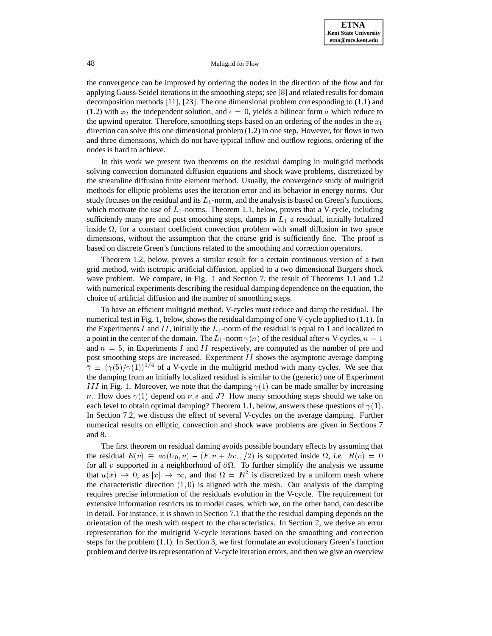the convergence can be improved by ordering the nodes in the direction of the flow and for applying Gauss-Seidel iterations in the smoothing steps; see [8] and related results for domain decomposition methods [11], [23]. The one dimensional problem corresponding to (1.1) and (1.2) with  $x_2$  the independent solution, and  $\epsilon=0$ , yields a bilinear form a which reduce to the upwind operator. Therefore, smoothing steps based on an ordering of the nodes in the  $x_1$ direction can solve this one dimensional problem (1.2) in one step. However, for flows in two and three dimensions, which do not have typical inflow and outflow regions, ordering of the nodes is hard to achieve.

In this work we present two theorems on the residual damping in multigrid methods solving convection dominated diffusion equations and shock wave problems, discretized by the streamline diffusion finite element method. Usually, the convergence study of multigrid methods for elliptic problems uses the iteration error and its behavior in energy norms. Our study focuses on the residual and its  $L_1$ -norm, and the analysis is based on Green's functions, which motivate the use of  $L_1$ -norms. Theorem 1.1, below, proves that a V-cycle, including sufficiently many pre and post smoothing steps, damps in  $L_1$  a residual, initially localized inside  $\Omega$ , for a constant coefficient convection problem with small diffusion in two space dimensions, without the assumption that the coarse grid is sufficiently fine. The proof is based on discrete Green's functions related to the smoothing and correction operators.

Theorem 1.2, below, proves a similar result for a certain continuous version of a two grid method, with isotropic artificial diffusion, applied to a two dimensional Burgers shock wave problem. We compare, in Fig. 1 and Section 7, the result of Theorems 1.1 and 1.2 with numerical experiments describing the residual damping dependence on the equation, the choice of artificial diffusion and the number of smoothing steps.

To have an efficient multigrid method, V-cycles must reduce and damp the residual. The numerical test in Fig. 1, below, shows the residual damping of one V-cycle applied to (1.1). In the Experiments I and II, initially the  $L_1$ -norm of the residual is equal to 1 and localized to a point in the center of the domain. The  $L_1$ -norm  $\gamma(n)$  of the residual after n V-cycles,  $n = 1$ and  $n = 5$ , in Experiments I and II respectively, are computed as the number of pre and post smoothing steps are increased. Experiment  $II$  shows the asymptotic average damping  $\bar{\gamma} \equiv (\gamma(5)/\gamma(1))^{1/4}$  of a V-cycle in the multigrid method with many cycles. We see that the damping from an initially localized residual is similar to the (generic) one of Experiment III in Fig. 1. Moreover, we note that the damping  $\gamma(1)$  can be made smaller by increasing v. How does  $\gamma(1)$  depend on  $\nu$ ,  $\epsilon$  and J? How many smoothing steps should we take on each level to obtain optimal damping? Theorem 1.1, below, answers these questions of  $\gamma(1)$ . In Section 7.2, we discuss the effect of several V-cycles on the average damping. Further numerical results on elliptic, convection and shock wave problems are given in Sections 7 and 8.

The first theorem on residual daming avoids possible boundary effects by assuming that the residual  $R(v) \equiv a_0(U_0, v) - (F, v + hv_{x_1}/2)$  is supported inside  $\Omega$ , *i.e.*  $R(v) = 0$ for all v supported in a neighborhood of  $\partial\Omega$ . To further simplify the analysis we assume that  $u(x) \to 0$ , as  $|x| \to \infty$ , and that  $\Omega = \mathbb{R}^2$  is discretized by a uniform mesh where the characteristic direction  $(1, 0)$  is aligned with the mesh. Our analysis of the damping requires precise information of the residuals evolution in the V-cycle. The requirement for extensive information restricts us to model cases, which we, on the other hand, can describe in detail. For instance, it is shown in Section 7.1 that the the residual damping depends on the orientation of the mesh with respect to the characteristics. In Section 2, we derive an error representation for the multigrid V-cycle iterations based on the smoothing and correction steps for the problem (1.1). In Section 3, we first formulate an evolutionary Green's function problem and derive its representation of V-cycle iteration errors, and then we give an overview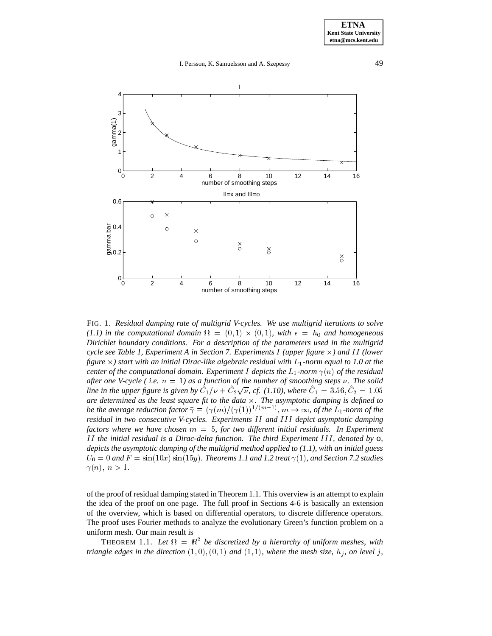

FIG. 1. *Residual damping rate of multigrid V-cycles. We use multigrid iterations to solve*  $(1.1)$  in the computational domain  $\Omega = (0,1) \times (0,1)$ , with  $\epsilon = h_0$  and homogeneous *Dirichlet boundary conditions. For a description of the parameters used in the multigrid cycle see Table 1, Experiment A in Section 7. Experiments I (upper figure*  $\times$ ) and II (lower figure  $\times$ ) start with an initial Dirac-like algebraic residual with  $L_1$ -norm equal to 1.0 at the *center of the computational domain. Experiment I depicts the*  $L_1$ -norm  $\gamma(n)$  *of the residual after one V-cycle (i.e.*  $n = 1$ ) as a function of the number of smoothing steps  $\nu$ . The solid *line in the upper figure is given by*  $C_1/\nu + C_2\sqrt{\nu}$ , *cf.* (1.10), where  $C_1 = 3.56, C_2 = 1.05$ *are determined as the least square fit to the data* -*. The asymptotic damping is defined to be the average reduction factor*  $\bar{\gamma} \equiv (\gamma(m)/(\gamma(1))^{1/(m-1)}$ ,  $m \to \infty$ , *of the* L<sub>1</sub>-norm of the residual in two consecutive V-cycles. Experiments II and III depict asymptotic damping *residual in two consecutive V-cycles. Experiments* I I *and* III *depict asymptotic damping factors where we have chosen* m <sup>=</sup> <sup>5</sup>*, for two different initial residuals. In Experiment* I I *the initial residual is a Dirac-delta function. The third Experiment* III *, denoted by* o*, depicts the asymptotic damping of the multigrid method applied to (1.1), with an initial guess*  $U_0 = 0$  and  $F = \sin(10x) \sin(15y)$ . Theorems 1.1 and 1.2 treat  $\gamma(1)$ , and Section 7.2 studies  $\gamma(n),\ n>1.$ 

of the proof of residual damping stated in Theorem 1.1. This overview is an attempt to explain the idea of the proof on one page. The full proof in Sections 4-6 is basically an extension of the overview, which is based on differential operators, to discrete difference operators. The proof uses Fourier methods to analyze the evolutionary Green's function problem on a uniform mesh. Our main result is

THEOREM 1.1. Let  $\Omega = \mathbb{R}^2$  be discretized by a hierarchy of uniform meshes, with *triangle edges in the direction*  $(1, 0), (0, 1)$  *and*  $(1, 1)$ *, where the mesh size,*  $h_i$ *, on level j*,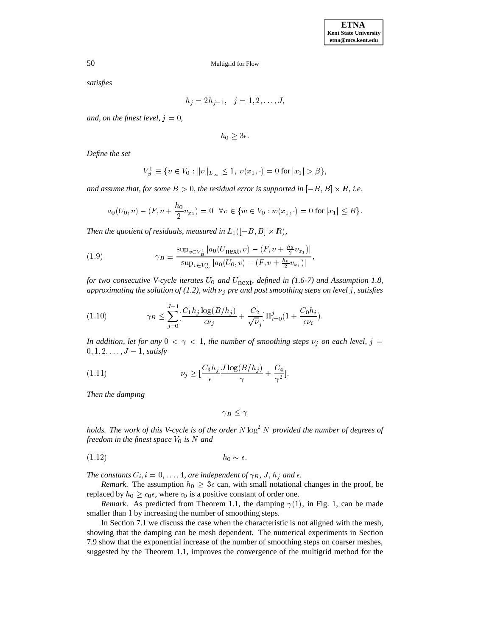*satisfies*

$$
h_j = 2h_{j-1}, \quad j = 1, 2, \dots, J,
$$

*and, on the finest level,*  $j = 0$ *,* 

 $h_0 \geq 3\epsilon.$ 

*Define the set*

$$
V_{\beta}^{1} \equiv \{ v \in V_0 : ||v||_{L_{\infty}} \le 1, \ v(x_1, \cdot) = 0 \text{ for } |x_1| > \beta \},\
$$

and assume that, for some  $B > 0$ , the residual error is supported in  $[-B, B] \times \mathbb{R}$ , i.e.

$$
a_0(U_0, v) - (F, v + \frac{h_0}{2}v_{x_1}) = 0 \quad \forall v \in \{w \in V_0 : w(x_1, \cdot) = 0 \text{ for } |x_1| \leq B\}.
$$

Then the quotient of residuals, measured in  $L_1([-B,B] \times R)$ ,

(1.9) 
$$
\gamma_B \equiv \frac{\sup_{v \in V_B^1} |a_0(U_{\text{next}}, v) - (F, v + \frac{h_0}{2}v_{x_1})|}{\sup_{v \in V_B^1} |a_0(U_0, v) - (F, v + \frac{h_0}{2}v_{x_1})|},
$$

*for two consecutive V-cycle iterates*  $U_0$  *and*  $U_{\text{next}}$ *, defined in* (1.6-7) *and* Assumption 1.8, *approximating the solution of (1.2), with*  $\nu_j$  *pre and post smoothing steps on level j, satisfies* 

(1.10) 
$$
\gamma_B \leq \sum_{j=0}^{J-1} \left[ \frac{C_1 h_j \log(B/h_j)}{\epsilon \nu_j} + \frac{C_2}{\sqrt{\nu_j}} \right] \Pi_{i=0}^j (1 + \frac{C_0 h_i}{\epsilon \nu_i}).
$$

*In addition, let for any*  $0 < \gamma < 1$ *, the number of smoothing steps*  $\nu_j$  *on each level,*  $j =$  $0, 1, 2, \ldots, J-1$ , satisfy

(1.11) 
$$
\nu_j \geq \left[\frac{C_3 h_j}{\epsilon} \frac{J \log(B/h_j)}{\gamma} + \frac{C_4}{\gamma^2}\right].
$$

*Then the damping*

 $\gamma_B \leq \gamma$ 

*holds. The work of this V-cycle is of the order* N  $\log^2 N$  *provided the number of degrees of freedom in the finest space*  $V_0$  *is* N *and* 

(1:12) h0 :

*The constants*  $C_i$ ,  $i = 0, \ldots, 4$ , are independent of  $\gamma_B$ , J,  $h_j$  and  $\epsilon$ .

*Remark*. The assumption  $h_0 \geq 3\epsilon$  can, with small notational changes in the proof, be replaced by  $h_0 \geq c_0 \epsilon$ , where  $c_0$  is a positive constant of order one.

*Remark*. As predicted from Theorem 1.1, the damping  $\gamma(1)$ , in Fig. 1, can be made smaller than <sup>1</sup> by increasing the number of smoothing steps.

In Section 7.1 we discuss the case when the characteristic is not aligned with the mesh, showing that the damping can be mesh dependent. The numerical experiments in Section 7.9 show that the exponential increase of the number of smoothing steps on coarser meshes, suggested by the Theorem 1.1, improves the convergence of the multigrid method for the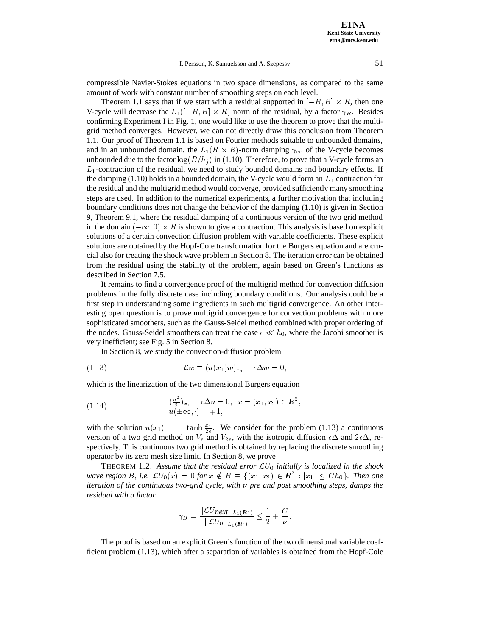compressible Navier-Stokes equations in two space dimensions, as compared to the same amount of work with constant number of smoothing steps on each level.

Theorem 1.1 says that if we start with a residual supported in  $[-B, B] \times R$ , then one V-cycle will decrease the  $L_1([-B, B] \times R)$  norm of the residual, by a factor  $\gamma_B$ . Besides confirming Experiment I in Fig. 1, one would like to use the theorem to prove that the multigrid method converges. However, we can not directly draw this conclusion from Theorem 1.1. Our proof of Theorem 1.1 is based on Fourier methods suitable to unbounded domains, and in an unbounded domain, the  $L_1(R \times R)$ -norm damping  $\gamma_{\infty}$  of the V-cycle becomes unbounded due to the factor  $\log(B/h_i)$  in (1.10). Therefore, to prove that a V-cycle forms an  $L_1$ -contraction of the residual, we need to study bounded domains and boundary effects. If the damping  $(1.10)$  holds in a bounded domain, the V-cycle would form an  $L_1$  contraction for the residual and the multigrid method would converge, provided sufficiently many smoothing steps are used. In addition to the numerical experiments, a further motivation that including boundary conditions does not change the behavior of the damping (1.10) is given in Section 9, Theorem 9.1, where the residual damping of a continuous version of the two grid method in the domain  $(-\infty, 0) \times R$  is shown to give a contraction. This analysis is based on explicit solutions of a certain convection diffusion problem with variable coefficients. These explicit solutions are obtained by the Hopf-Cole transformation for the Burgers equation and are crucial also for treating the shock wave problem in Section 8. The iteration error can be obtained from the residual using the stability of the problem, again based on Green's functions as described in Section 7.5.

It remains to find a convergence proof of the multigrid method for convection diffusion problems in the fully discrete case including boundary conditions. Our analysis could be a first step in understanding some ingredients in such multigrid convergence. An other interesting open question is to prove multigrid convergence for convection problems with more sophisticated smoothers, such as the Gauss-Seidel method combined with proper ordering of the nodes. Gauss-Seidel smoothers can treat the case  $\epsilon \ll h_0$ , where the Jacobi smoother is very inefficient; see Fig. 5 in Section 8.

In Section 8, we study the convection-diffusion problem

(1.13) 
$$
\mathcal{L}w \equiv (u(x_1)w)_{x_1} - \epsilon \Delta w = 0,
$$

which is the linearization of the two dimensional Burgers equation

(1.14) 
$$
\frac{\left(\frac{u^2}{2}\right)x_1 - \epsilon \Delta u = 0, \ x = (x_1, x_2) \in \mathbb{R}^2, u(\pm \infty, \cdot) = \mp 1,
$$

with the solution  $u(x_1) = -\tanh \frac{x_1}{2\epsilon}$ . We consider for the problem (1.13) a continuous version of a two grid method on  $V_{\epsilon}$  and  $V_{2\epsilon}$ , with the isotropic diffusion  $\epsilon\Delta$  and  $2\epsilon\Delta$ , respectively. This continuous two grid method is obtained by replacing the discrete smoothing operator by its zero mesh size limit. In Section 8, we prove

THEOREM 1.2. Assume that the residual error  $\mathcal{L}U_0$  initially is localized in the shock *wave region* B, i.e.  $\mathcal{L}U_0(x) = 0$  for  $x \notin B \equiv \{(x_1, x_2) \in \mathbb{R}^2 : |x_1| \leq Ch_0\}$ . Then one iteration of the continuous two-grid cycle, with  $\nu$  pre and post smoothing steps, damps the *iteration of the continuous two-grid cycle, with*  $\nu$  pre and post smoothing steps, damps the *residual with a factor*

$$
\gamma_B = \frac{\|\mathcal{L}U_{\text{next}}\|_{L_1(\mathbf{R}^2)}}{\|\mathcal{L}U_0\|_{L_1(\mathbf{R}^2)}} \le \frac{1}{2} + \frac{C}{\nu}.
$$

The proof is based on an explicit Green's function of the two dimensional variable coefficient problem (1.13), which after a separation of variables is obtained from the Hopf-Cole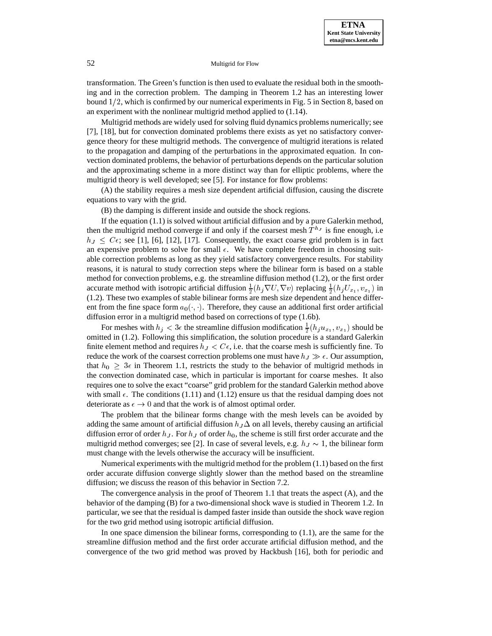transformation. The Green's function is then used to evaluate the residual both in the smoothing and in the correction problem. The damping in Theorem 1.2 has an interesting lower bound  $1/2$ , which is confirmed by our numerical experiments in Fig. 5 in Section 8, based on an experiment with the nonlinear multigrid method applied to (1.14).

Multigrid methods are widely used for solving fluid dynamics problems numerically; see [7], [18], but for convection dominated problems there exists as yet no satisfactory convergence theory for these multigrid methods. The convergence of multigrid iterations is related to the propagation and damping of the perturbations in the approximated equation. In convection dominated problems, the behavior of perturbations depends on the particular solution and the approximating scheme in a more distinct way than for elliptic problems, where the multigrid theory is well developed; see [5]. For instance for flow problems:

(A) the stability requires a mesh size dependent artificial diffusion, causing the discrete equations to vary with the grid.

(B) the damping is different inside and outside the shock regions.

If the equation (1.1) is solved without artificial diffusion and by a pure Galerkin method, then the multigrid method converge if and only if the coarsest mesh  $T^{h_J}$  is fine enough, i.e  $h_J \leq C\epsilon$ ; see [1], [6], [12], [17]. Consequently, the exact coarse grid problem is in fact an expensive problem to solve for small  $\epsilon$ . We have complete freedom in choosing suitable correction problems as long as they yield satisfactory convergence results. For stability reasons, it is natural to study correction steps where the bilinear form is based on a stable method for convection problems, e.g. the streamline diffusion method (1.2), or the first order accurate method with isotropic artificial diffusion  $\frac{1}{2}(h_j \nabla U, \nabla v)$  replacing  $\frac{1}{2}(h_j U_{x_1}, v_{x_1})$  in <sup>2</sup> <sup>2</sup> (1.2). These two examples of stable bilinear forms are mesh size dependent and hence different from the fine space form  $a_0(\cdot, \cdot)$ . Therefore, they cause an additional first order artificial diffusion error in a multigrid method based on corrections of type (1.6b).

For meshes with  $h_j < 3\epsilon$  the streamline diffusion modification  $\frac{1}{2}(h_j u_{x_1}, v_{x_1})$  should be omitted in (1.2). Following this simplification, the solution procedure is a standard Galerkin finite element method and requires  $h_J < C_{\epsilon}$ , i.e. that the coarse mesh is sufficiently fine. To reduce the work of the coarsest correction problems one must have  $h_J \gg \epsilon$ . Our assumption, that  $h_0 \geq 3\epsilon$  in Theorem 1.1, restricts the study to the behavior of multigrid methods in the convection dominated case, which in particular is important for coarse meshes. It also requires one to solve the exact "coarse" grid problem for the standard Galerkin method above with small  $\epsilon$ . The conditions (1.11) and (1.12) ensure us that the residual damping does not deteriorate as  $\epsilon \to 0$  and that the work is of almost optimal order.

The problem that the bilinear forms change with the mesh levels can be avoided by adding the same amount of artificial diffusion  $h_J \Delta$  on all levels, thereby causing an artificial diffusion error of order  $h_J$ . For  $h_J$  of order  $h_0$ , the scheme is still first order accurate and the multigrid method converges; see [2]. In case of several levels, e.g.  $h_J \sim 1$ , the bilinear form must change with the levels otherwise the accuracy will be insufficient.

Numerical experiments with the multigrid method for the problem (1.1) based on the first order accurate diffusion converge slightly slower than the method based on the streamline diffusion; we discuss the reason of this behavior in Section 7.2.

The convergence analysis in the proof of Theorem 1.1 that treats the aspect (A), and the behavior of the damping (B) for a two-dimensional shock wave is studied in Theorem 1.2. In particular, we see that the residual is damped faster inside than outside the shock wave region for the two grid method using isotropic artificial diffusion.

In one space dimension the bilinear forms, corresponding to (1.1), are the same for the streamline diffusion method and the first order accurate artificial diffusion method, and the convergence of the two grid method was proved by Hackbush [16], both for periodic and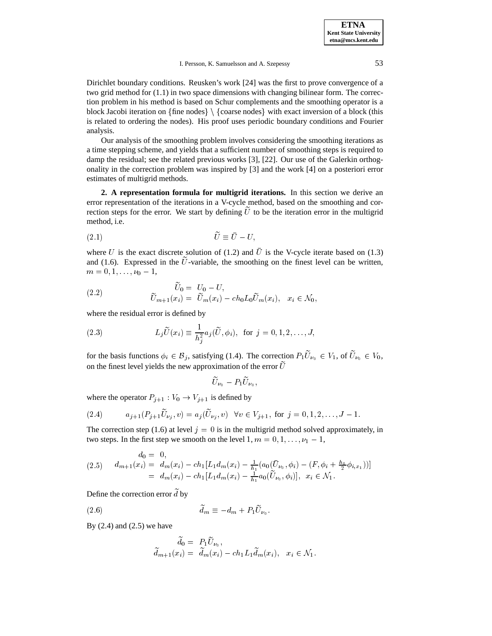Dirichlet boundary conditions. Reusken's work [24] was the first to prove convergence of a two grid method for (1.1) in two space dimensions with changing bilinear form. The correction problem in his method is based on Schur complements and the smoothing operator is a block Jacobi iteration on  $\{\text{fine nodes}\}\setminus\{\text{coarse nodes}\}\$  with exact inversion of a block (this is related to ordering the nodes). His proof uses periodic boundary conditions and Fourier analysis.

Our analysis of the smoothing problem involves considering the smoothing iterations as a time stepping scheme, and yields that a sufficient number of smoothing steps is required to damp the residual; see the related previous works [3], [22]. Our use of the Galerkin orthogonality in the correction problem was inspired by [3] and the work [4] on a posteriori error estimates of multigrid methods.

**2. A representation formula for multigrid iterations.** In this section we derive an error representation of the iterations in a V-cycle method, based on the smoothing and correction steps for the error. We start by defining  $\tilde{U}$  to be the iteration error in the multigrid method, i.e.

$$
(2.1) \t\t \tilde{U} \equiv \bar{U} - U,
$$

where U is the exact discrete solution of (1.2) and  $\overline{U}$  is the V-cycle iterate based on (1.3) and (1.6). Expressed in the  $\tilde{U}$ -variable, the smoothing on the finest level can be written,  $m = 0, 1, \ldots, \nu_0 - 1,$ 

(2.2) 
$$
\widetilde{U}_0 = U_0 - U,
$$

$$
\widetilde{U}_{m+1}(x_i) = \widetilde{U}_m(x_i) - ch_0 L_0 \widetilde{U}_m(x_i), \quad x_i \in \mathcal{N}_0,
$$

where the residual error is defined by

(2.3) 
$$
L_j \tilde{U}(x_i) \equiv \frac{1}{h_j^2} a_j(\tilde{U}, \phi_i), \text{ for } j = 0, 1, 2, ..., J,
$$

for the basis functions  $\phi_i \in \mathcal{B}_j$ , satisfying (1.4). The correction  $P_1 U_{\nu_0} \in V_1$ , of  $U_{\nu_0} \in V_0$ , on the finest level vields the new approximation of the error  $\tilde{U}$ on the finest level yields the new approximation of the error  $\tilde{U}$ 

$$
\widetilde{U}_{\nu_0}-P_1\widetilde{U}_{\nu_0},
$$

where the operator  $P_{i+1} : V_0 \to V_{i+1}$  is defined by

(2.4) 
$$
a_{j+1}(P_{j+1}\widetilde{U}_{\nu_j}, v) = a_j(\widetilde{U}_{\nu_j}, v) \quad \forall v \in V_{j+1}, \text{ for } j = 0, 1, 2, \ldots, J-1.
$$

The correction step (1.6) at level  $j = 0$  is in the multigrid method solved approximately, in two steps. In the first step we smooth on the level  $1, m = 0, 1, \ldots, \nu_1 - 1$ ,

$$
d_0 = 0,
$$
  
(2.5) 
$$
d_{m+1}(x_i) = d_m(x_i) - ch_1[L_1d_m(x_i) - \frac{1}{h_1}(a_0(\bar{U}_{\nu_0}, \phi_i) - (F, \phi_i + \frac{h_0}{2}\phi_{i,x_1}))]
$$
  

$$
= d_m(x_i) - ch_1[L_1d_m(x_i) - \frac{1}{h_1}a_0(\tilde{U}_{\nu_0}, \phi_i)], \quad x_i \in \mathcal{N}_1.
$$

Define the correction error  $\tilde{d}$  by

(2.6) 
$$
\widetilde{d}_m \equiv -d_m + P_1 \widetilde{U}_{\nu_0}.
$$

By (2.4) and (2.5) we have

$$
\widetilde{d}_0 = P_1 \widetilde{U}_{\nu_0}, \n\widetilde{d}_{m+1}(x_i) = \widetilde{d}_m(x_i) - c h_1 L_1 \widetilde{d}_m(x_i), \quad x_i \in \mathcal{N}_1.
$$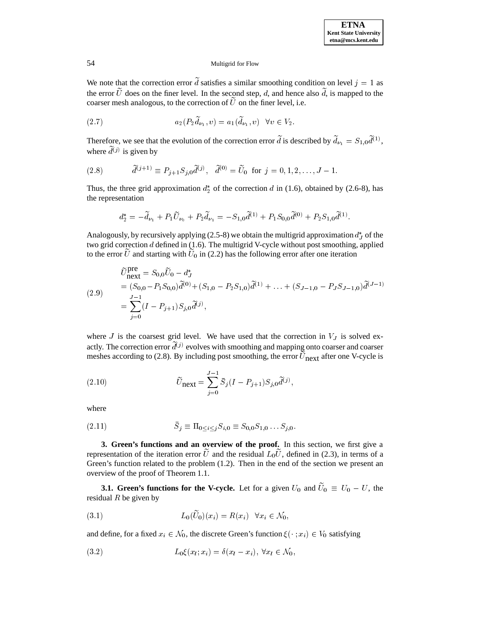We note that the correction error d satisfies a similar smoothing condition on level  $j = 1$  as the error  $\tilde{U}$  does on the finer level. In the second step, d, and hence also  $\tilde{d}$ , is mapped to the coarser mesh analogous, to the correction of  $\tilde{U}$  on the finer level, i.e.

$$
(2.7) \t\t\t  $a_2(P_2\widetilde{d}_{\nu_1}, v) = a_1(\widetilde{d}_{\nu_1}, v) \quad \forall v \in V_2.$
$$

Therefore, we see that the evolution of the correction error d is described by  $d_{\nu_1} = S_{1,0} d^{(1)}$ , where  $d^{(j)}$  is given by

(2.8) 
$$
\tilde{d}^{(j+1)} \equiv P_{j+1} S_{j,0} \tilde{d}^{(j)}, \quad \tilde{d}^{(0)} = \tilde{U}_0 \text{ for } j = 0, 1, 2, \dots, J-1.
$$

Thus, the three grid approximation  $d_2^*$  of the correction d in (1.6), obtained by (2.6-8), has the representation

$$
d_2^* = -\widetilde{d}_{\nu_1} + P_1 \widetilde{U}_{\nu_0} + P_2 \widetilde{d}_{\nu_1} = -S_{1,0} \widetilde{d}^{(1)} + P_1 S_{0,0} \widetilde{d}^{(0)} + P_2 S_{1,0} \widetilde{d}^{(1)}.
$$

Analogously, by recursively applying (2.5-8) we obtain the multigrid approximation  $d<sub>T</sub><sup>*</sup>$  of the two grid correction  $d$  defined in (1.6). The multigrid V-cycle without post smoothing, applied to the error U and starting with  $U_0$  in (2.2) has the following error after one iteration

(2.9)  
\n
$$
\widetilde{U}_{\text{next}}^{\text{pre}} = S_{0,0} \widetilde{U}_0 - d_J^*
$$
\n
$$
= (S_{0,0} - P_1 S_{0,0}) \widetilde{d}^{(0)} + (S_{1,0} - P_2 S_{1,0}) \widetilde{d}^{(1)} + \dots + (S_{J-1,0} - P_J S_{J-1,0}) \widetilde{d}^{(J-1)}
$$
\n
$$
= \sum_{j=0}^{J-1} (I - P_{j+1}) S_{j,0} \widetilde{d}^{(j)},
$$

where  $J$  is the coarsest grid level. We have used that the correction in  $V_J$  is solved exactly. The correction error  $d^{(j)}$  evolves with smoothing and mapping onto coarser and coarser meshes according to  $(2.8)$ . By including post smoothing, the error  $U_{\text{next}}$  after one V-cycle is

(2.10) 
$$
\widetilde{U}_{\text{next}} = \sum_{j=0}^{J-1} \bar{S}_j (I - P_{j+1}) S_{j,0} \widetilde{d}^{(j)},
$$

where

(2.11) 
$$
\bar{S}_j \equiv \Pi_{0 \le i \le j} S_{i,0} \equiv S_{0,0} S_{1,0} \dots S_{j,0}.
$$

**3. Green's functions and an overview of the proof.** In this section, we first give a representation of the iteration error U and the residual  $L_0U$ , defined in (2.3), in terms of a Green's function related to the problem (1.2). Then in the end of the section we present an overview of the proof of Theorem 1.1.

**3.1. Green's functions for the V-cycle.** Let for a given  $U_0$  and  $U_0 \equiv U_0 - U$ , the residual  $R$  be given by

(3.1) 
$$
L_0(\tilde{U}_0)(x_i) = R(x_i) \quad \forall x_i \in \mathcal{N}_0,
$$

and define, for a fixed  $x_i \in \mathcal{N}_0$ , the discrete Green's function  $\xi(\cdot; x_i) \in V_0$  satisfying

(3.2) 
$$
L_0\xi(x_l;x_i)=\delta(x_l-x_i), \ \forall x_l\in\mathcal{N}_0,
$$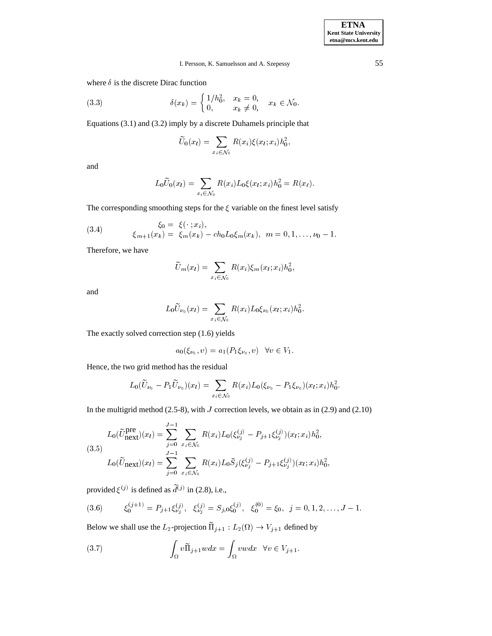where  $\delta$  is the discrete Dirac function

(3.3) 
$$
\delta(x_k) = \begin{cases} 1/h_0^2, & x_k = 0, \\ 0, & x_k \neq 0, \end{cases} x_k \in \mathcal{N}_0.
$$

Equations (3.1) and (3.2) imply by a discrete Duhamels principle that

$$
\widetilde{U}_0(x_l)=\sum_{x_i\in \mathcal{N}_0}R(x_i)\xi(x_l;x_i)h_0^2,
$$

and

$$
L_0 \widetilde{U}_0(x_l) = \sum_{x_i \in \mathcal{N}_0} R(x_i) L_0 \xi(x_l; x_i) h_0^2 = R(x_l).
$$

The corresponding smoothing steps for the  $\xi$  variable on the finest level satisfy

(3.4) 
$$
\xi_0 = \xi(\cdot; x_i), \n\xi_{m+1}(x_k) = \xi_m(x_k) - ch_0 L_0 \xi_m(x_k), \quad m = 0, 1, ..., \nu_0 - 1.
$$

Therefore, we have

$$
\widetilde{U}_m(x_l)=\sum_{x_i\in \mathcal{N}_0}R(x_i)\xi_m(x_l;x_i)h_0^2,
$$

and

$$
L_0 \widetilde{U}_{\nu_0}(x_l) = \sum_{x_i \in \mathcal{N}_0} R(x_i) L_0 \xi_{\nu_0}(x_l; x_i) h_0^2.
$$

The exactly solved correction step (1.6) yields

$$
a_0(\xi_{\nu_0}, v) = a_1(P_1\xi_{\nu_0}, v) \quad \forall v \in V_1.
$$

Hence, the two grid method has the residual

$$
L_0(\widetilde{U}_{\nu_0}-P_1\widetilde{U}_{\nu_0})(x_l)=\sum_{x_i\in\mathcal{N}_0}R(x_i)L_0(\xi_{\nu_0}-P_1\xi_{\nu_0})(x_l;x_i)h_0^2.
$$

In the multigrid method  $(2.5-8)$ , with *J* correction levels, we obtain as in  $(2.9)$  and  $(2.10)$ 

$$
L_0(\widetilde{U}_{\text{next}}^{\text{pre}})(x_l) = \sum_{j=0}^{J-1} \sum_{x_i \in \mathcal{N}_0} R(x_i) L_0(\xi_{\nu_j}^{(j)} - P_{j+1}\xi_{\nu_j}^{(j)}) (x_l; x_i) h_0^2,
$$
  
(3.5)  

$$
L_0(\widetilde{U}_{\text{next}})(x_l) = \sum_{j=0}^{J-1} \sum_{x_i \in \mathcal{N}_0} R(x_i) L_0 \overline{S}_j(\xi_{\nu_j}^{(j)} - P_{j+1}\xi_{\nu_j}^{(j)}) (x_l; x_i) h_0^2,
$$

provided  $\xi^{(j)}$  is defined as  $d^{(j)}$  in (2.8), i.e.,

$$
(3.6) \qquad \xi_0^{(j+1)} = P_{j+1}\xi_{\nu_j}^{(j)}, \quad \xi_{\nu_j}^{(j)} = S_{j,0}\xi_0^{(j)}, \quad \xi_0^{(0)} = \xi_0, \quad j = 0, 1, 2, \dots, J-1.
$$

Below we shall use the  $L_2$ -projection  $\Pi_{i+1} : L_2(\Omega) \to V_{i+1}$  defined by

(3.7) 
$$
\int_{\Omega} v \widetilde{\Pi}_{j+1} w dx = \int_{\Omega} v w dx \quad \forall v \in V_{j+1}.
$$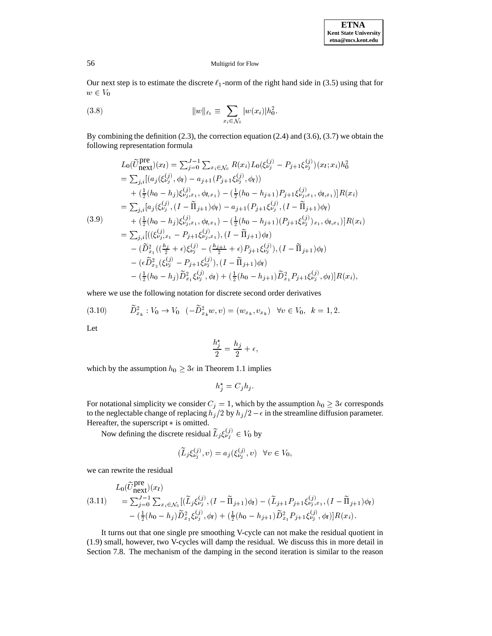Our next step is to estimate the discrete  $\ell_1$ -norm of the right hand side in (3.5) using that for  $\sim$   $\sim$   $\sim$   $\sim$   $\sim$   $\sim$ 

(3.8) 
$$
||w||_{\ell_1} \equiv \sum_{x_i \in \mathcal{N}_0} |w(x_i)| h_0^2.
$$

By combining the definition (2.3), the correction equation (2.4) and (3.6), (3.7) we obtain the following representation formula

$$
L_{0}(\widetilde{U}_{\text{next}}^{\text{pre}})(x_{l}) = \sum_{j=0}^{J-1} \sum_{x_{i} \in \mathcal{N}_{0}} R(x_{i}) L_{0}(\xi_{\nu_{j}}^{(j)} - P_{j+1}\xi_{\nu_{j}}^{(j)}) (x_{l}; x_{i})h_{0}^{2}
$$
  
\n
$$
= \sum_{j,i} [ (a_{j}(\xi_{\nu_{j}}^{(j)}, \phi_{l}) - a_{j+1}(P_{j+1}\xi_{\nu_{j}}^{(j)}, \phi_{l}) )
$$
  
\n
$$
+ (\frac{1}{2}(h_{0} - h_{j})\xi_{\nu_{j},x_{1}}^{(j)}, \phi_{l,x_{1}}) - (\frac{1}{2}(h_{0} - h_{j+1})P_{j+1}\xi_{\nu_{j},x_{1}}^{(j)}, \phi_{l,x_{1}})]R(x_{i})
$$
  
\n
$$
= \sum_{j,i} [a_{j}(\xi_{\nu_{j}}^{(j)}, (I - \widetilde{\Pi}_{j+1})\phi_{l}) - a_{j+1}(P_{j+1}\xi_{\nu_{j}}^{(j)}, (I - \widetilde{\Pi}_{j+1})\phi_{l})
$$
  
\n(3.9)  
\n
$$
+ (\frac{1}{2}(h_{0} - h_{j})\xi_{\nu_{j},x_{1}}^{(j)}, \phi_{l,x_{1}}) - (\frac{1}{2}(h_{0} - h_{j+1})(P_{j+1}\xi_{\nu_{j}}^{(j)})_{x_{1}}, \phi_{l,x_{1}})]R(x_{i})
$$
  
\n
$$
= \sum_{j,i} [((\xi_{\nu_{j},x_{1}}^{(j)} - P_{j+1}\xi_{\nu_{j},x_{1}}^{(j)}), (I - \widetilde{\Pi}_{j+1})\phi_{l}) - (\widetilde{D}_{x_{1}}^{2}((\xi_{\nu_{j}}^{(j)} - P_{j+1}\xi_{\nu_{j}}^{(j)}), (I - \widetilde{\Pi}_{j+1})\phi_{l}) - (\frac{1}{2}(h_{0} - h_{j})\widetilde{D}_{x_{1}}^{2}\xi_{\nu_{j}}^{(j)}, \phi_{l}) + (\frac{1}{2}(h_{0} - h_{j+1})\widetilde{D}_{x_{1}}^{2}P_{j+1}\xi_{\nu_{j}}^{(j)}, \phi_{l})]R(x_{i}),
$$

where we use the following notation for discrete second order derivatives

$$
(3.10) \qquad \widetilde{D}_{x_k}^2 : V_0 \to V_0 \quad (-\widetilde{D}_{x_k}^2 w, v) = (w_{x_k}, v_{x_k}) \quad \forall v \in V_0, \ \ k = 1, 2.
$$

Let

$$
\frac{h_j^*}{2}=\frac{h_j}{2}+\epsilon,
$$

which by the assumption  $h_0 \geq 3\epsilon$  in Theorem 1.1 implies

$$
h_j^* = C_j h_j.
$$

For notational simplicity we consider  $C_j = 1$ , which by the assumption  $h_0 \geq 3\epsilon$  corresponds to the neglectable change of replacing  $h_j/2$  by  $h_j/2 - \epsilon$  in the streamline diffusion parameter. Hereafter, the superscript  $*$  is omitted.

Now defining the discrete residual  $L_j \xi_{\nu_j}^{(J)} \in V_0$  by

$$
(\widetilde{L}_j \xi^{(j)}_{\nu_j}, v) = a_j(\xi^{(j)}_{\nu_j}, v) \quad \forall v \in V_0,
$$

we can rewrite the residual

$$
L_0(\widetilde{U}_{\text{next}}^{\text{pre}})(x_l)
$$
\n
$$
= \sum_{j=0}^{J-1} \sum_{x_i \in \mathcal{N}_0} [(\widetilde{L}_j \xi_{\nu_j}^{(j)}, (I - \widetilde{\Pi}_{j+1}) \phi_l) - (\widetilde{L}_{j+1} P_{j+1} \xi_{\nu_j, x_1}^{(j)}, (I - \widetilde{\Pi}_{j+1}) \phi_l)
$$
\n
$$
- (\frac{1}{2} (h_0 - h_j) \widetilde{D}_{x_1}^2 \xi_{\nu_j}^{(j)}, \phi_l) + (\frac{1}{2} (h_0 - h_{j+1}) \widetilde{D}_{x_1}^2 P_{j+1} \xi_{\nu_j}^{(j)}, \phi_l)] R(x_i).
$$

It turns out that one single pre smoothing V-cycle can not make the residual quotient in (1.9) small, however, two V-cycles will damp the residual. We discuss this in more detail in Section 7.8. The mechanism of the damping in the second iteration is similar to the reason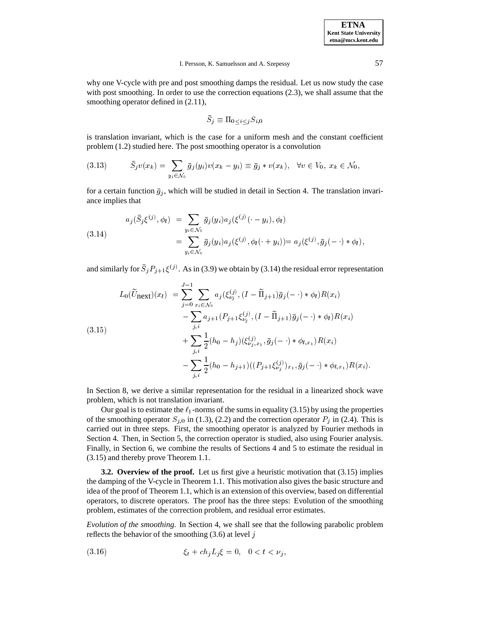why one V-cycle with pre and post smoothing damps the residual. Let us now study the case with post smoothing. In order to use the correction equations (2.3), we shall assume that the smoothing operator defined in  $(2.11)$ ,

$$
\bar{S}_j\equiv \Pi_{0\leq i\leq j} {S}_{i,0}
$$

is translation invariant, which is the case for a uniform mesh and the constant coefficient problem (1.2) studied here. The post smoothing operator is a convolution

$$
(3.13) \qquad \bar{S}_j v(x_k) = \sum_{y_i \in \mathcal{N}_0} \bar{g}_j(y_i) v(x_k - y_i) \equiv \bar{g}_j * v(x_k), \quad \forall v \in V_0, \ x_k \in \mathcal{N}_0,
$$

for a certain function  $\bar{g}_i$ , which will be studied in detail in Section 4. The translation invariance implies that

(3.14) 
$$
a_j(\bar{S}_j\xi^{(j)}, \phi_l) = \sum_{y_i \in \mathcal{N}_0} \bar{g}_j(y_i) a_j(\xi^{(j)}(\cdot - y_i), \phi_l) = \sum_{y_i \in \mathcal{N}_0} \bar{g}_j(y_i) a_j(\xi^{(j)}, \phi_l(\cdot + y_i)) = a_j(\xi^{(j)}, \bar{g}_j(\cdot - \cdot) * \phi_l),
$$

and similarly for  $S_j P_{j+1} \xi^{(j)}$ . As in (3.9) we obtain by (3.14) the residual error representation

$$
L_0(\widetilde{U}_{\text{next}})(x_l) = \sum_{j=0}^{J-1} \sum_{x_i \in \mathcal{N}_0} a_j(\xi_{\nu_j}^{(j)}, (I - \widetilde{\Pi}_{j+1})\bar{g}_j(-\cdot) * \phi_l)R(x_i)
$$
  

$$
- \sum_{j,i} a_{j+1}(P_{j+1}\xi_{\nu_j}^{(j)}, (I - \widetilde{\Pi}_{j+1})\bar{g}_j(-\cdot) * \phi_l)R(x_i)
$$
  

$$
+ \sum_{j,i} \frac{1}{2}(h_0 - h_j)(\xi_{\nu_j,x_1}^{(j)}, \bar{g}_j(-\cdot) * \phi_{l,x_1})R(x_i)
$$
  

$$
- \sum_{j,i} \frac{1}{2}(h_0 - h_{j+1})((P_{j+1}\xi_{\nu_j}^{(j)})_{x_1}, \bar{g}_j(-\cdot) * \phi_{l,x_1})R(x_i).
$$

In Section 8, we derive a similar representation for the residual in a linearized shock wave problem, which is not translation invariant.

Our goal is to estimate the  $\ell_1$ -norms of the sums in equality (3.15) by using the properties of the smoothing operator  $S_{j,0}$  in (1.3), (2.2) and the correction operator  $P_j$  in (2.4). This is carried out in three steps. First, the smoothing operator is analyzed by Fourier methods in Section 4. Then, in Section 5, the correction operator is studied, also using Fourier analysis. Finally, in Section 6, we combine the results of Sections 4 and 5 to estimate the residual in (3.15) and thereby prove Theorem 1.1.

**3.2. Overview of the proof.** Let us first give a heuristic motivation that (3.15) implies the damping of the V-cycle in Theorem 1.1. This motivation also gives the basic structure and idea of the proof of Theorem 1.1, which is an extension of this overview, based on differential operators, to discrete operators. The proof has the three steps: Evolution of the smoothing problem, estimates of the correction problem, and residual error estimates.

*Evolution of the smoothing.* In Section 4, we shall see that the following parabolic problem reflects the behavior of the smoothing  $(3.6)$  at level j

(3.16) 
$$
\xi_t + ch_j L_j \xi = 0, \quad 0 < t < \nu_j,
$$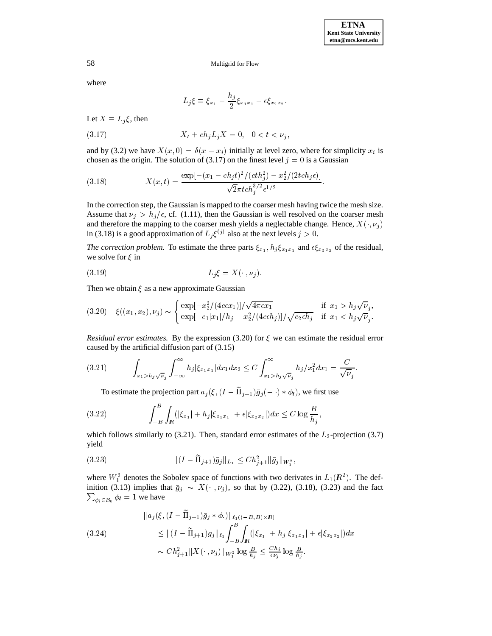where

$$
L_j\xi\equiv \xi_{x_1}-\frac{h_j}{2}\xi_{x_1x_1}-\epsilon\xi_{x_2x_2}.
$$

Let  $X \equiv L_j \xi$ , then

(3.17) 
$$
X_t + ch_j L_j X = 0, \quad 0 < t < \nu_j,
$$

and by (3.2) we have  $X(x, 0) = \delta(x - x_i)$  initially at level zero, where for simplicity  $x_i$  is chosen as the origin. The solution of (3.17) on the finest level  $j = 0$  is a Gaussian

(3.18) 
$$
X(x,t) = \frac{\exp[-(x_1 - ch_j t)^2 / (c th_j^2) - x_2^2 / (2t ch_j \epsilon)]}{\sqrt{2\pi t c h_j^{3/2} \epsilon^{1/2}}}.
$$

In the correction step, the Gaussian is mapped to the coarser mesh having twice the mesh size. Assume that  $\nu_j > h_j / \epsilon$ , cf. (1.11), then the Gaussian is well resolved on the coarser mesh and therefore the mapping to the coarser mesh yields a neglectable change. Hence,  $X(\cdot, \nu_j)$ in (3.18) is a good approximation of  $L_i \xi^{(j)}$  also at the next levels  $j > 0$ .

*The correction problem.* To estimate the three parts  $\xi_{x_1}, h_j \xi_{x_1x_1}$  and  $\epsilon \xi_{x_2x_2}$  of the residual, we solve for  $\xi$  in

$$
(3.19) \t\t\t L_j \xi = X(\cdot, \nu_j).
$$

Then we obtain  $\xi$  as a new approximate Gaussian

$$
(3.20) \quad \xi((x_1, x_2), \nu_j) \sim \begin{cases} \exp[-x_2^2/(4c\epsilon x_1)]/\sqrt{4\pi\epsilon x_1} & \text{if } x_1 > h_j\sqrt{\nu}_j, \\ \exp[-c_1|x_1|/h_j - x_2^2/(4c\epsilon h_j)]/\sqrt{c_2\epsilon h_j} & \text{if } x_1 < h_j\sqrt{\nu}_j. \end{cases}
$$

*Residual error estimates.* By the expression (3.20) for  $\xi$  we can estimate the residual error caused by the artificial diffusion part of (3.15)

$$
(3.21) \qquad \int_{x_1 > h_j \sqrt{\nu}_j} \int_{-\infty}^{\infty} h_j |\xi_{x_1 x_1}| dx_1 dx_2 \le C \int_{x_1 > h_j \sqrt{\nu}_j}^{\infty} h_j/x_1^2 dx_1 = \frac{C}{\sqrt{\nu}_j}.
$$

To estimate the projection part  $a_j(\xi, (I - \Pi_{j+1})\bar{g}_j(-\cdot) * \phi_l)$ , we first use

$$
(3.22) \qquad \qquad \int_{-B}^{B} \int_{\mathbb{R}} (|\xi_{x_1}| + h_j|\xi_{x_1x_1}| + \epsilon |\xi_{x_2x_2}|) dx \le C \log \frac{B}{h_j},
$$

which follows similarly to (3.21). Then, standard error estimates of the  $L_2$ -projection (3.7) yield

(3.23) 
$$
\| (I - \widetilde{\Pi}_{j+1}) \bar{g}_j \|_{L_1} \leq C h_{j+1}^2 \| \bar{g}_j \|_{W_1^2},
$$

where  $W_1^2$  denotes the Sobolev space of functions with two derivates in  $L_1(\mathbb{R}^2)$ . The def- $\sum_{\phi_l \in \mathcal{B}_0} \phi_l = 1$  we have inition (3.13) implies that  $\bar{g}_j \sim X(\cdot, \nu_j)$ , so that by (3.22), (3.18), (3.23) and the fact

$$
\|a_j(\xi, (I - \tilde{\Pi}_{j+1})\bar{g}_j * \phi.)\|_{\ell_1((-B, B) \times \mathbb{R})}
$$
  
\n
$$
\leq \|(I - \tilde{\Pi}_{j+1})\bar{g}_j\|_{\ell_1} \int_{-B}^{B} \int_{\mathbb{R}} (|\xi_{x_1}| + h_j|\xi_{x_1x_1}| + \epsilon |\xi_{x_2x_2}|) dx
$$
  
\n
$$
\sim Ch_{j+1}^2 \|X(\cdot, \nu_j)\|_{W_1^2} \log \frac{B}{h_j} \leq \frac{Ch_j}{\epsilon \nu_j} \log \frac{B}{h_j}.
$$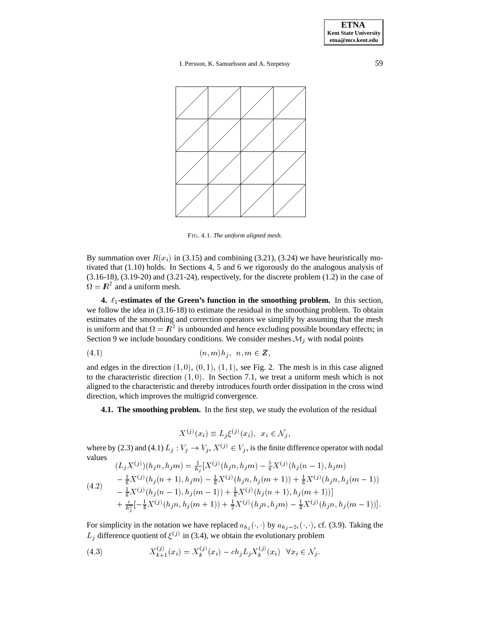**ETNA Kent State University etna@mcs.kent.edu**

I. Persson, K. Samuelsson and A. Szepessy 59



FIG. 4.1. *The uniform aligned mesh.*

By summation over  $R(x_i)$  in (3.15) and combining (3.21), (3.24) we have heuristically motivated that (1.10) holds. In Sections 4, 5 and 6 we rigorously do the analogous analysis of  $(3.16-18)$ ,  $(3.19-20)$  and  $(3.21-24)$ , respectively, for the discrete problem  $(1.2)$  in the case of  $\Omega = \mathbb{R}^2$  and a uniform mesh.

**4.**  $\ell_1$ -estimates of the Green's function in the smoothing problem. In this section, we follow the idea in (3.16-18) to estimate the residual in the smoothing problem. To obtain estimates of the smoothing and correction operators we simplify by assuming that the mesh is uniform and that  $\Omega = \mathbb{R}^2$  is unbounded and hence excluding possible boundary effects; in Section 9 we include boundary conditions. We consider meshes  $\mathcal{M}_j$  with nodal points

$$
(4.1) \qquad (n,m)h_i, \ \ n,m \in \mathbb{Z},
$$

and edges in the direction  $(1, 0)$ ,  $(0, 1)$ ,  $(1, 1)$ , see Fig. 2. The mesh is in this case aligned to the characteristic direction  $(1, 0)$ . In Section 7.1, we treat a uniform mesh which is not aligned to the characteristic and thereby introduces fourth order dissipation in the cross wind direction, which improves the multigrid convergence.

**4.1. The smoothing problem.** In the first step, we study the evolution of the residual

$$
X^{(j)}(x_i) \equiv L_j \xi^{(j)}(x_i), \ \ x_i \in \mathcal{N}_j,
$$

 $X^{(j)}(x_i) \equiv L_j \xi^{(j)}(x_i), \quad x_i \in \mathcal{N}_j,$ <br>where by (2.3) and (4.1)  $L_j: V_j \to V_j, X^{(j)} \in V_j$ , is the finite difference operator with nodal values  $\mathbf{1} \times \mathbf{1}$ 

$$
(L_j X^{(j)})(h_j n, h_j m) = \frac{1}{h_j} [X^{(j)}(h_j n, h_j m) - \frac{2}{6} X^{(j)}(h_j (n-1), h_j m)]
$$
  
\n
$$
- \frac{1}{6} X^{(j)}(h_j (n+1), h_j m) - \frac{1}{6} X^{(j)}(h_j n, h_j (m+1)) + \frac{1}{6} X^{(j)}(h_j n, h_j (m-1))
$$
  
\n
$$
- \frac{1}{6} X^{(j)}(h_j (n-1), h_j (m-1)) + \frac{1}{6} X^{(j)}(h_j (n+1), h_j (m+1))]
$$
  
\n
$$
+ \frac{\epsilon}{h_j^2} [-\frac{1}{4} X^{(j)}(h_j n, h_j (m+1)) + \frac{1}{2} X^{(j)}(h_j n, h_j m) - \frac{1}{4} X^{(j)}(h_j n, h_j (m-1))].
$$

For simplicity in the notation we have replaced  $a_{h_i}(\cdot, \cdot)$  by  $a_{h_i-2\epsilon}(\cdot, \cdot)$ , cf. (3.9). Taking the  $L_i$  difference quotient of  $\xi^{(j)}$  in (3.4), we obtain the evolutionary problem

(4.3) 
$$
X_{k+1}^{(j)}(x_i) = X_k^{(j)}(x_i) - ch_j L_j X_k^{(j)}(x_i) \quad \forall x_i \in \mathcal{N}_j.
$$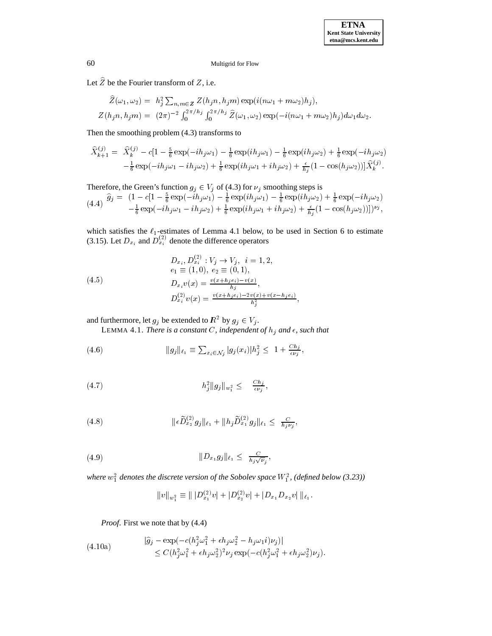Let  $\widehat{Z}$  be the Fourier transform of  $Z$ , i.e.

$$
\widehat{Z}(\omega_1, \omega_2) = h_j^2 \sum_{n,m \in \mathbb{Z}} Z(h_j n, h_j m) \exp(i(n\omega_1 + m\omega_2)h_j),
$$
  

$$
Z(h_j n, h_j m) = (2\pi)^{-2} \int_0^{2\pi/h_j} \int_0^{2\pi/h_j} \widehat{Z}(\omega_1, \omega_2) \exp(-i(n\omega_1 + m\omega_2)h_j) d\omega_1 d\omega_2.
$$

Then the smoothing problem (4.3) transforms to

$$
\hat{X}_{k+1}^{(j)} = \hat{X}_k^{(j)} - c[1 - \frac{5}{6} \exp(-ih_j \omega_1) - \frac{1}{6} \exp(ih_j \omega_1) - \frac{1}{6} \exp(ih_j \omega_2) + \frac{1}{6} \exp(-ih_j \omega_2) \n- \frac{1}{6} \exp(-ih_j \omega_1 - ih_j \omega_2) + \frac{1}{6} \exp(ih_j \omega_1 + ih_j \omega_2) + \frac{\epsilon}{h_j} (1 - \cos(h_j \omega_2)) \hat{X}_k^{(j)}.
$$

Therefore, the Green's function  $g_j \in V_j$  of (4.3) for  $\nu_j$  smoothing steps is

$$
(4.4) \quad \hat{g}_j = (1 - c[1 - \frac{5}{6} \exp(-ih_j\omega_1) - \frac{1}{6} \exp(ih_j\omega_1) - \frac{1}{6} \exp(ih_j\omega_2) + \frac{1}{6} \exp(-ih_j\omega_2) -\frac{1}{6} \exp(-ih_j\omega_1 - ih_j\omega_2) + \frac{1}{6} \exp(ih_j\omega_1 + ih_j\omega_2) + \frac{\epsilon}{h_j}(1 - \cos(h_j\omega_2))])^{\nu_j},
$$

which satisfies the  $\ell_1$ -estimates of Lemma 4.1 below, to be used in Section 6 to estimate (3.15). Let  $D_{x_i}$  and  $D_{x_i}^{(2)}$  denote the difference operators

je poznata u predstavanje poznata u predstavanje poznata u predstavanje poznata u predstavanje poznata u preds

(4.5)  
\n
$$
D_{x_i}, D_{x_i}^{(2)} : V_j \to V_j, \quad i = 1, 2,
$$
\n
$$
e_1 \equiv (1, 0), \quad e_2 \equiv (0, 1),
$$
\n
$$
D_{x_i} v(x) = \frac{v(x + h_j e_i) - v(x)}{h_j},
$$
\n
$$
D_{x_i}^{(2)} v(x) = \frac{v(x + h_j e_i) - 2v(x) + v(x - h_j e_i)}{h_i^2},
$$

and furthermore, let  $g_i$  be extended to  $\mathbb{R}^2$  by  $g_i \in V_i$ .

LEMMA 4.1. *There is a constant* C, independent of  $h_j$  and  $\epsilon$ , such that

(4.6) 
$$
||g_j||_{\ell_1} \equiv \sum_{x_i \in \mathcal{N}_j} |g_j(x_i)| h_j^2 \leq 1 + \frac{Ch_j}{\epsilon \nu_j},
$$

(4.7) 
$$
h_j^2 \|g_j\|_{w_1^2} \leq \frac{C h_j}{\epsilon \nu_j},
$$

(4.8) 
$$
\|\epsilon \widetilde{D}_{x_2}^{(2)} g_j\|_{\ell_1} + \|h_j \widetilde{D}_{x_1}^{(2)} g_j\|_{\ell_1} \leq \frac{C}{h_j \nu_j},
$$

(4.9) 
$$
||D_{x_1}g_j||_{\ell_1} \leq \frac{C}{h_j\sqrt{\nu_j}},
$$

where  $w_1^2$  denotes the discrete version of the Sobolev space  $W_1^2$ , (defined below (3.23))

$$
||v||_{w_1^2} \equiv || |D_{x_1}^{(2)}v| + |D_{x_2}^{(2)}v| + |D_{x_1}D_{x_2}v| ||_{\ell_1}.
$$

*Proof*. First we note that by (4.4)

(4.10a)  
\n
$$
\begin{aligned}\n &\left|\widehat{g}_j - \exp\left(-c(h_j^2\omega_1^2 + \epsilon h_j\omega_2^2 - h_j\omega_1 i)\nu_j\right)\right| \\
 &\le C(h_j^2\omega_1^2 + \epsilon h_j\omega_2^2)^2\nu_j \exp\left(-c(h_j^2\omega_1^2 + \epsilon h_j\omega_2^2)\nu_j\right).\n \end{aligned}
$$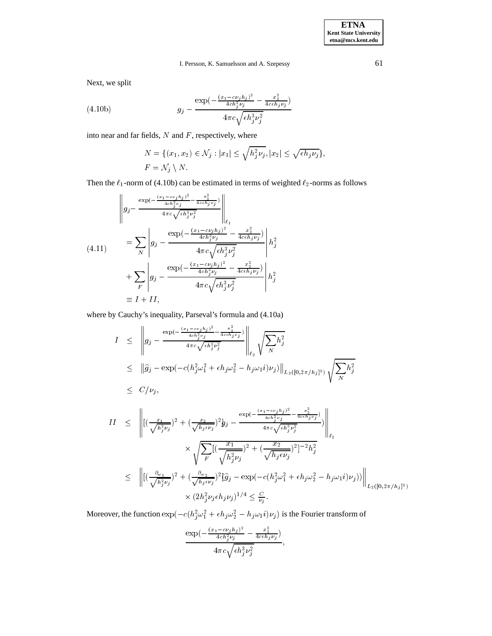Next, we split

(4.10b) 
$$
g_j - \frac{\exp(-\frac{(x_1 - c\nu_j h_j)^2}{4c h_j^2 \nu_j} - \frac{x_2^2}{4c \epsilon h_j \nu_j})}{4\pi c \sqrt{\epsilon h_j^3 \nu_j^2}}
$$

into near and far fields,  $N$  and  $F$ , respectively, where

$$
N = \{(x_1, x_2) \in \mathcal{N}_j : |x_1| \le \sqrt{h_j^2 \nu_j}, |x_2| \le \sqrt{\epsilon h_j \nu_j}\},
$$
  

$$
F = \mathcal{N}_j \setminus N.
$$

Then the  $\ell_1$ -norm of (4.10b) can be estimated in terms of weighted  $\ell_2$ -norms as follows

$$
(4.11) \qquad \begin{aligned}\n&= \sum_{N} \left| g_j - \frac{\exp(-\frac{(x_1 - c\nu_j h_j)^2}{4c\hbar_j^2 \nu_j} - \frac{x_2^2}{4c\hbar_j \nu_j})}{4\pi c \sqrt{\epsilon h_j^3 \nu_j^2}} \right|_{\ell_1} \\
&= \sum_{N} \left| g_j - \frac{\exp(-\frac{(x_1 - c\nu_j h_j)^2}{4c\hbar_j^2 \nu_j} - \frac{x_2^2}{4c\epsilon h_j \nu_j})}{4\pi c \sqrt{\epsilon h_j^3 \nu_j^2}} \right| h_j^2 \\
&+ \sum_{F} \left| g_j - \frac{\exp(-\frac{(x_1 - c\nu_j h_j)^2}{4c\hbar_j^2 \nu_j} - \frac{x_2^2}{4c\epsilon h_j \nu_j})}{4\pi c \sqrt{\epsilon h_j^3 \nu_j^2}} \right| h_j^2 \\
&\equiv I + II,\n\end{aligned}
$$

where by Cauchy's inequality, Parseval's formula and (4.10a)

$$
I \leq \left\| g_j - \frac{\exp(-\frac{(x_1 - c\nu_j h_j)^2}{4\epsilon h_j^2 \nu_j} - \frac{x_2^2}{4c\epsilon h_j \nu_j})}{4\pi c \sqrt{\epsilon h_j^3 \nu_j^2}} \right\|_{\ell_2} \sqrt{\sum_N h_j^2}
$$
  
\n
$$
\leq \left\| \widehat{g}_j - \exp(-c(h_j^2 \omega_1^2 + \epsilon h_j \omega_2^2 - h_j \omega_1 i) \nu_j) \right\|_{L_2([0, 2\pi/h_j]^2)} \sqrt{\sum_N h_j^2}
$$
  
\n
$$
\leq C/\nu_j,
$$

$$
II \leq \left\| [(\frac{x_1}{\sqrt{h_j^2 \nu_j}})^2 + (\frac{x_2}{\sqrt{h_j e \nu_j}})^2 y_j - \frac{\exp(-\frac{(x_1 - c\nu_j h_j)^2}{4c h_j^2 \nu_j} - \frac{x_2^2}{4c \epsilon h_j \nu_j})}{4\pi c \sqrt{\epsilon h_j^3 \nu_j^2}}) \right\|_{\ell_2}
$$
  

$$
\leq \left\| [(\frac{\partial \omega_1}{\sqrt{h_j^2 \nu_j}})^2 + (\frac{\partial \omega_2}{\sqrt{h_j e \nu_j}})^2 \widehat{y}_j - \exp(-c(h_j^2 \omega_1^2 + \epsilon h_j \omega_2^2 - h_j \omega_1 i) \nu_j)) \right\|_{L_2([0, 2\pi/h_j]^2)}
$$
  

$$
\times (2h_j^2 \nu_j \epsilon h_j \nu_j)^{1/4} \leq \frac{C}{\nu_j}.
$$

Moreover, the function  $\exp(-c(h_j^2\omega_1^2 + \epsilon h_j\omega_2^2 - h_j\omega_1 i)\nu_j)$  is the Fourier transform of

$$
\frac{\exp\left(-\frac{(x_1-c\nu_jh_j)^2}{4ch_j^2\nu_j} - \frac{x_2^2}{4ceh_j\nu_j}\right)}{4\pi c\sqrt{\epsilon h_j^3\nu_j^2}},
$$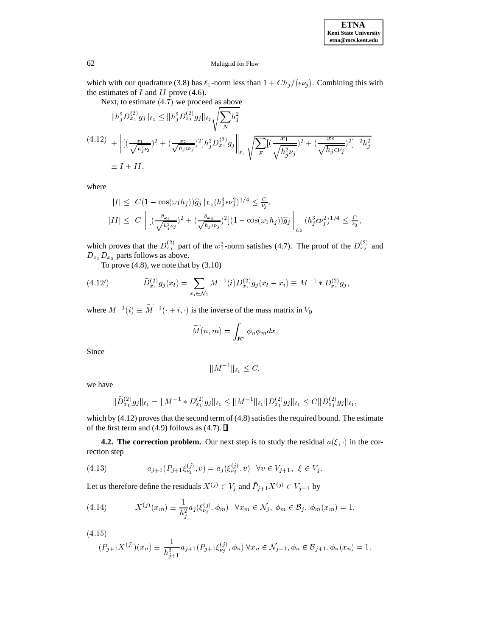

which with our quadrature (3.8) has  $\ell_1$ -norm less than  $1+ Ch_j/(\epsilon \nu_j)$ . Combining this with the estimates of  $I$  and  $II$  prove (4.6).

Next, to estimate (4:7) we proceed as above

$$
||h_j^2 D_{x_1}^{(2)} g_j||_{\ell_1} \le ||h_j^2 D_{x_1}^{(2)} g_j||_{\ell_2} \sqrt{\sum_N h_j^2}
$$
  
(4.12) 
$$
+ \left\| [(\frac{x_1}{\sqrt{h_j^2 \nu_j}})^2 + (\frac{x_2}{\sqrt{h_j \epsilon \nu_j}})^2] h_j^2 D_{x_1}^{(2)} g_j \right\|_{\ell_2} \sqrt{\sum_F} [(\frac{x_1}{\sqrt{h_j^2 \nu_j}})^2 + (\frac{x_2}{\sqrt{h_j \epsilon \nu_j}})^2]^{-2} h_j^2
$$

$$
\equiv I + II,
$$

where

$$
|I| \leq C(1 - \cos(\omega_1 h_j))\hat{g}_j||_{L_2}(h_j^3 \epsilon \nu_j^2)^{1/4} \leq \frac{C}{\nu_j},
$$
  
\n
$$
|II| \leq C \left\| \left[ (\frac{\partial_{\omega_1}}{\sqrt{h_j^2 \nu_j}})^2 + (\frac{\partial_{\omega_2}}{\sqrt{h_j \epsilon \nu_j}})^2 \right] (1 - \cos(\omega_1 h_j))\hat{g}_j \right\|_{L_2} (h_j^3 \epsilon \nu_j^2)^{1/4} \leq \frac{C}{\nu_j},
$$

which proves that the  $D_{x_1}^{(2)}$  part of the  $w_1^2$ -norm satisfies (4.7). The proof of the  $D_{x_2}^{(2)}$  and  $D_{x_1}D_{x_2}$  parts follows as above.

To prove  $(4.8)$ , we note that by  $(3.10)$ 

(4.12') 
$$
\widetilde{D}_{x_1}^{(2)}g_j(x_l) = \sum_{x_i \in \mathcal{N}_0} M^{-1}(i)D_{x_1}^{(2)}g_j(x_l - x_i) \equiv M^{-1} * D_{x_1}^{(2)}g_j,
$$

where  $M^{-1}(i) \equiv M^{-1}(-i, i)$  is the inverse of the mass matrix in  $V_0$ 

$$
\widetilde{M}(n,m)=\int_{I\!\! R^2}\phi_n\phi_m dx.
$$

Since

$$
||M^{-1}||_{\ell_1} \leq C,
$$

we have

$$
\|\widetilde{D}_{x_1}^{(2)}g_j\|_{\ell_1} = \|M^{-1} * D_{x_1}^{(2)}g_j\|_{\ell_1} \le \|M^{-1}\|_{\ell_1} \|D_{x_1}^{(2)}g_j\|_{\ell_1} \le C \|D_{x_1}^{(2)}g_j\|_{\ell_1},
$$

which by (4.12) proves that the second term of (4.8) satisfies the required bound. The estimate of the first term and (4.9) follows as (4.7).  $\Box$ 

**4.2. The correction problem.** Our next step is to study the residual  $a(\xi, \cdot)$  in the correction step

(4.13) 
$$
a_{j+1}(P_{j+1}\xi_{\nu_j}^{(j)}, v) = a_j(\xi_{\nu_j}^{(j)}, v) \quad \forall v \in V_{j+1}, \ \xi \in V_j.
$$

Let us therefore define the residuals  $X^{(j)} \in V_j$  and  $P_{j+1}X^{(j)} \in V_{j+1}$  by

(4.14) 
$$
X^{(j)}(x_m) \equiv \frac{1}{h_j^2} a_j(\xi_{\nu_j}^{(j)}, \phi_m) \quad \forall x_m \in \mathcal{N}_j, \ \phi_m \in \mathcal{B}_j, \ \phi_m(x_m) = 1,
$$

$$
(4.15)
$$

$$
(\bar{P}_{j+1}X^{(j)})(x_n) \equiv \frac{1}{h_{j+1}^2} a_{j+1}(P_{j+1}\xi_{\nu_j}^{(j)}, \bar{\phi}_n) \,\forall x_n \in \mathcal{N}_{j+1}, \bar{\phi}_n \in \mathcal{B}_{j+1}, \bar{\phi}_n(x_n) = 1.
$$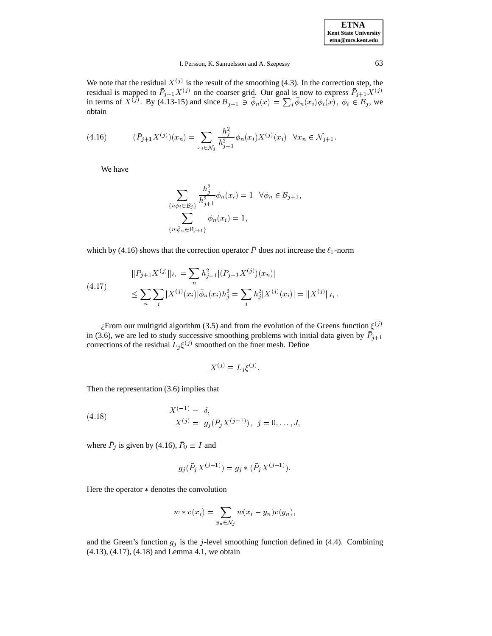| <b>ETNA</b>                  |
|------------------------------|
| <b>Kent State University</b> |
| etna@mcs.kent.edu            |

We note that the residual  $X^{(j)}$  is the result of the smoothing (4.3). In the correction step, the residual is mapped to  $P_{j+1}X^{(j)}$  on the coarser grid. Our goal is now to express  $P_{j+1}X^{(j)}$  in terms of  $X^{(j)}$ . By (4.13-15) and since  $\mathcal{B}_{j+1} \ni \bar{\phi}_n(x) = \sum_i \bar{\phi}_n(x_i)\phi_i(x)$ ,  $\phi_i \in \mathcal{B}_j$ , we obtain obtain

(4.16) 
$$
(\bar{P}_{j+1}X^{(j)})(x_n) = \sum_{x_i \in \mathcal{N}_j} \frac{h_j^2}{h_{j+1}^2} \bar{\phi}_n(x_i) X^{(j)}(x_i) \quad \forall x_n \in \mathcal{N}_{j+1}.
$$

We have

$$
\sum_{\{i:\phi_i\in\mathcal{B}_j\}}\frac{h_j^2}{h_{j+1}^2}\bar{\phi}_n(x_i) = 1 \quad \forall \bar{\phi}_n \in \mathcal{B}_{j+1},
$$

$$
\sum_{\{n:\bar{\phi}_n\in\mathcal{B}_{j+1}\}}\bar{\phi}_n(x_i) = 1,
$$

which by (4.16) shows that the correction operator P does not increase the  $\ell_1$ -norm

(4.17) 
$$
\|\bar{P}_{j+1}X^{(j)}\|_{\ell_1} = \sum_n h_{j+1}^2 |(\bar{P}_{j+1}X^{(j)})(x_n)|
$$

$$
\leq \sum_n \sum_i |X^{(j)}(x_i)| \bar{\phi}_n(x_i) h_j^2 = \sum_i h_j^2 |X^{(j)}(x_i)| = \|X^{(j)}\|_{\ell_1}.
$$

 $\zeta$ From our multigrid algorithm (3.5) and from the evolution of the Greens function  $\xi^{(j)}$ in (3.6), we are led to study successive smoothing problems with initial data given by  $P_{j+1}$ corrections of the residual  $L_j \xi^{(j)}$  smoothed on the finer mesh. Define

$$
X^{(j)} \equiv L_i \xi^{(j)}.
$$

Then the representation (3.6) implies that

(4.18) 
$$
X^{(-1)} = \delta,
$$

$$
X^{(j)} = g_j(\bar{P}_j X^{(j-1)}), \ \ j = 0, \dots, J,
$$

where  $P_j$  is given by (4.16),  $P_0 \equiv I$  and

$$
g_j(\bar{P}_j X^{(j-1)}) = g_j * (\bar{P}_j X^{(j-1)}).
$$

Here the operator  $*$  denotes the convolution

$$
w * v(x_i) = \sum_{y_n \in \mathcal{N}_j} w(x_i - y_n) v(y_n),
$$

and the Green's function  $g_j$  is the j-level smoothing function defined in (4.4). Combining (4.13), (4.17), (4.18) and Lemma 4.1, we obtain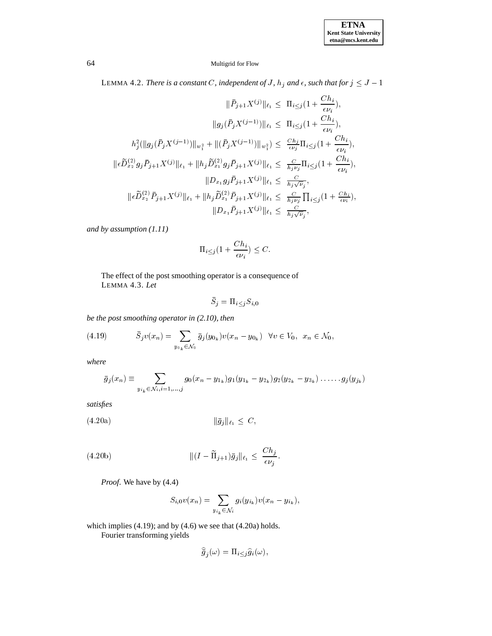LEMMA 4.2. *There is a constant* C, independent of J,  $h_j$  and  $\epsilon$ , such that for  $j \leq J - 1$ 

$$
\|\bar{P}_{j+1}X^{(j)}\|_{\ell_{1}} \leq \Pi_{i\leq j}(1 + \frac{Ch_{i}}{\epsilon\nu_{i}}),
$$
  

$$
\|g_{j}(\bar{P}_{j}X^{(j-1)})\|_{\ell_{1}} \leq \Pi_{i\leq j}(1 + \frac{Ch_{i}}{\epsilon\nu_{i}}),
$$
  

$$
h_{j}^{2}(\|g_{j}(\bar{P}_{j}X^{(j-1)})\|_{w_{1}^{2}} + \|(\bar{P}_{j}X^{(j-1)})\|_{w_{1}^{2}}) \leq \frac{Ch_{j}}{\epsilon\nu_{j}}\Pi_{i\leq j}(1 + \frac{Ch_{i}}{\epsilon\nu_{i}}),
$$
  

$$
\|\epsilon\widetilde{D}_{x_{2}}^{(2)}g_{j}\bar{P}_{j+1}X^{(j)}\|_{\ell_{1}} + \|h_{j}\widetilde{D}_{x_{1}}^{(2)}g_{j}\bar{P}_{j+1}X^{(j)}\|_{\ell_{1}} \leq \frac{C}{h_{j}\nu_{j}}\Pi_{i\leq j}(1 + \frac{Ch_{i}}{\epsilon\nu_{i}}),
$$
  

$$
\|D_{x_{1}}g_{j}\bar{P}_{j+1}X^{(j)}\|_{\ell_{1}} \leq \frac{C}{h_{j}\sqrt{\nu_{j}}},
$$
  

$$
\|\epsilon\widetilde{D}_{x_{2}}^{(2)}\bar{P}_{j+1}X^{(j)}\|_{\ell_{1}} + \|h_{j}\widetilde{D}_{x_{1}}^{(2)}\bar{P}_{j+1}X^{(j)}\|_{\ell_{1}} \leq \frac{C}{h_{j}\nu_{j}}\Pi_{i\leq j}(1 + \frac{Ch_{i}}{\epsilon\nu_{i}}),
$$
  

$$
\|D_{x_{1}}\bar{P}_{j+1}X^{(j)}\|_{\ell_{1}} \leq \frac{C}{h_{j}\sqrt{\nu_{j}}},
$$

*and by assumption (1.11)*

$$
\Pi_{i \le j} (1 + \frac{C h_i}{\epsilon \nu_i}) \le C.
$$

The effect of the post smoothing operator is a consequence of LEMMA 4.3. *Let*

$$
\bar{S}_j = \Pi_{i \leq j} S_{i,0}
$$

*be the post smoothing operator in (2.10), then*

(4.19) 
$$
\bar{S}_j v(x_n) = \sum_{y_{0_k} \in \mathcal{N}_0} \bar{g}_j(y_{0_k}) v(x_n - y_{0_k}) \quad \forall v \in V_0, \ x_n \in \mathcal{N}_0,
$$

*where*

$$
\bar{g}_j(x_n) \equiv \sum_{y_{i_k} \in \mathcal{N}_{i,j} = 1,\dots,j} g_0(x_n - y_{1_k}) g_1(y_{1_k} - y_{2_k}) g_2(y_{2_k} - y_{3_k}) \dots \dots g_j(y_{j_k})
$$

*satisfies*

$$
(4.20a) \t\t\t\t ||\bar{g}_j||_{\ell_1} \leq C,
$$

(4.20b) 
$$
\| (I - \widetilde{\Pi}_{j+1}) \bar{g}_j \|_{\ell_1} \leq \frac{Ch_j}{\epsilon \nu_j}.
$$

*Proof*. We have by (4.4)

$$
S_{i,0}v(x_n) = \sum_{y_{i_k} \in \mathcal{N}_i} g_i(y_{i_k})v(x_n - y_{i_k}),
$$

which implies (4.19); and by (4.6) we see that (4.20a) holds.

Fourier transforming yields

$$
\widehat{\overline{g}}_j(\omega) = \Pi_{i \le j} \widehat{g}_i(\omega),
$$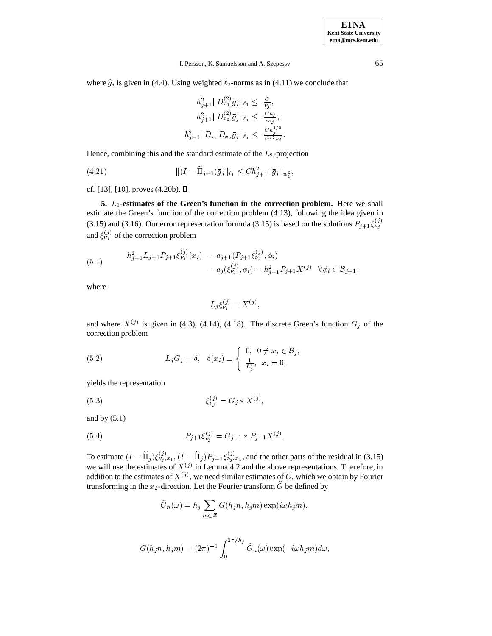where  $\hat{g}_i$  is given in (4.4). Using weighted  $\ell_2$ -norms as in (4.11) we conclude that

$$
h_{j+1}^2 ||D_{x_1}^{(2)} \bar{g}_j||_{\ell_1} \leq \frac{C}{\nu_j},
$$
  
\n
$$
h_{j+1}^2 ||D_{x_2}^{(2)} \bar{g}_j||_{\ell_1} \leq \frac{Ch_j}{\epsilon \nu_j},
$$
  
\n
$$
h_{j+1}^2 ||D_{x_1} D_{x_2} \bar{g}_j||_{\ell_1} \leq \frac{Ch_j^{1/2}}{\epsilon^{1/2} \nu_j}.
$$

Hence, combining this and the standard estimate of the  $L_2$ -projection

(4.21) 
$$
\| (I - \widetilde{\Pi}_{j+1}) \bar{g}_j \|_{\ell_1} \leq C h_{j+1}^2 \| \bar{g}_j \|_{w_1^2},
$$

cf. [13], [10], proves (4.20b).  $\Box$ 

**5.** L<sub>1</sub>-estimates of the Green's function in the correction problem. Here we shall estimate the Green's function of the correction problem (4.13), following the idea given in (3.15) and (3.16). Our error representation formula (3.15) is based on the solutions  $P_{j+1}\xi_{\nu}^{(y)}$ and  $\xi_{\nu}^{(j)}$  of the correction problem

(5.1) 
$$
h_{j+1}^2 L_{j+1} P_{j+1} \xi_{\nu_j}^{(j)}(x_i) = a_{j+1} (P_{j+1} \xi_{\nu_j}^{(j)}, \phi_i)
$$

$$
= a_j (\xi_{\nu_j}^{(j)}, \phi_i) = h_{j+1}^2 \bar{P}_{j+1} X^{(j)} \quad \forall \phi_i \in \mathcal{B}_{j+1},
$$

where

$$
L_j \xi_{\nu_j}^{(j)} = X^{(j)},
$$

and where  $X^{(j)}$  is given in (4.3), (4.14), (4.18). The discrete Green's function  $G_j$  of the correction problem

(5.2) 
$$
L_j G_j = \delta, \quad \delta(x_i) \equiv \begin{cases} 0, & 0 \neq x_i \in \mathcal{B}_j, \\ \frac{1}{h_j^2}, & x_i = 0, \end{cases}
$$

yields the representation

(5.3) 
$$
\xi_{\nu_i}^{(j)} = G_j * X^{(j)},
$$

and by  $(5.1)$ 

(5.4) 
$$
P_{j+1}\xi_{\nu_j}^{(j)} = G_{j+1} * \bar{P}_{j+1}X^{(j)}.
$$

To estimate  $(I - \Pi_j) \xi_{\nu_j,x_1}^{(j)}$ ,  $(I - \Pi_j) P_{j+1} \xi_{\nu_j,x_1}^{(j)}$ , and the other parts of the residual in (3.15) we will use the estimates of  $X^{(j)}$  in Lemma 4.2 and the above representations. Therefore, in addition to the estimates of  $X^{(j)}$ , we need similar estimates of G, which we obtain by Fourier transforming in the  $x_2$ -direction. Let the Fourier transform  $\widehat{G}$  be defined by

$$
\widehat{G}_n(\omega) = h_j \sum_{m \in \mathbb{Z}} G(h_j n, h_j m) \exp(i \omega h_j m),
$$

$$
G(h_j n, h_j m) = (2\pi)^{-1} \int_0^{2\pi/h_j} \widehat{G}_n(\omega) \exp(-i\omega h_j m) d\omega,
$$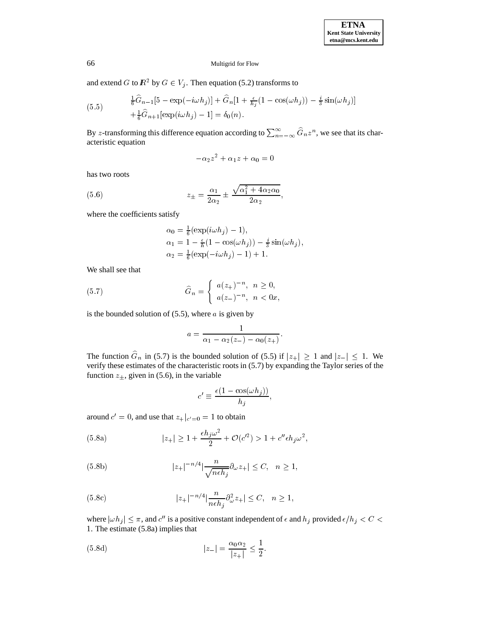and extend G to  $R^2$  by  $G \in V_i$ . Then equation (5.2) transforms to

(5.5) 
$$
\frac{1}{6}\hat{G}_{n-1}[5 - \exp(-i\omega h_j)] + \hat{G}_n[1 + \frac{\epsilon}{h_j}(1 - \cos(\omega h_j)) - \frac{i}{3}\sin(\omega h_j)] + \frac{1}{6}\hat{G}_{n+1}[\exp(i\omega h_j) - 1] = \delta_0(n).
$$

By *z*-transforming this difference equation according to  $\sum_{n=-\infty}^{\infty} G_n z^n$ , we see that its characteristic equation

$$
-\alpha_2 z^2 + \alpha_1 z + \alpha_0 = 0
$$

has two roots

(5.6) 
$$
z_{\pm} = \frac{\alpha_1}{2\alpha_2} \pm \frac{\sqrt{\alpha_1^2 + 4\alpha_2\alpha_0}}{2\alpha_2},
$$

where the coefficients satisfy

$$
\alpha_0 = \frac{1}{6} (\exp(i\omega h_j) - 1),
$$
  
\n
$$
\alpha_1 = 1 - \frac{\epsilon}{h} (1 - \cos(\omega h_j)) - \frac{i}{3} \sin(\omega h_j),
$$
  
\n
$$
\alpha_2 = \frac{1}{6} (\exp(-i\omega h_j) - 1) + 1.
$$

We shall see that

(5.7) 
$$
\widehat{G}_n = \begin{cases} a(z_+)^{-n}, & n \ge 0, \\ a(z_-)^{-n}, & n < 0x, \end{cases}
$$

is the bounded solution of  $(5.5)$ , where a is given by

$$
a=\frac{1}{\alpha_1-\alpha_2(z_-)-\alpha_0(z_+)}.
$$

The function  $G_n$  in (5.7) is the bounded solution of (5.5) if  $|z_+|\geq 1$  and  $|z_-|\leq 1$ . We verify these estimates of the characteristic roots in (5.7) by expanding the Taylor series of the function  $z_{\pm}$ , given in (5.6), in the variable

$$
c' \equiv \frac{\epsilon (1 - \cos(\omega h_j))}{h_j},
$$

around  $c' = 0$ , and use that  $z_{+}|_{c'=0} = 1$  to obtain

(5.8a) 
$$
|z_{+}| \ge 1 + \frac{\epsilon h_j \omega^2}{2} + \mathcal{O}(c'^2) > 1 + c'' \epsilon h_j \omega^2,
$$

(5.8b) 
$$
|z_+|^{-n/4}|\frac{n}{\sqrt{neh_j}}\partial_{\omega}z_+|\leq C, \quad n\geq 1,
$$

(5.8c) 
$$
|z_{+}|^{-n/4} \left| \frac{n}{n \epsilon h_{j}} \partial_{\omega}^{2} z_{+} \right| \leq C, \quad n \geq 1,
$$

where  $|\omega h_j| \leq \pi$ , and  $c''$  is a positive constant independent of  $\epsilon$  and  $h_j$  provided  $\epsilon/h_j < C < 1$ .<br>The estimate (5.8a) implies that <sup>1</sup>. The estimate (5.8a) implies that

(5.8d) 
$$
|z_{-}| = \frac{\alpha_0 \alpha_2}{|z_{+}|} \le \frac{1}{2}.
$$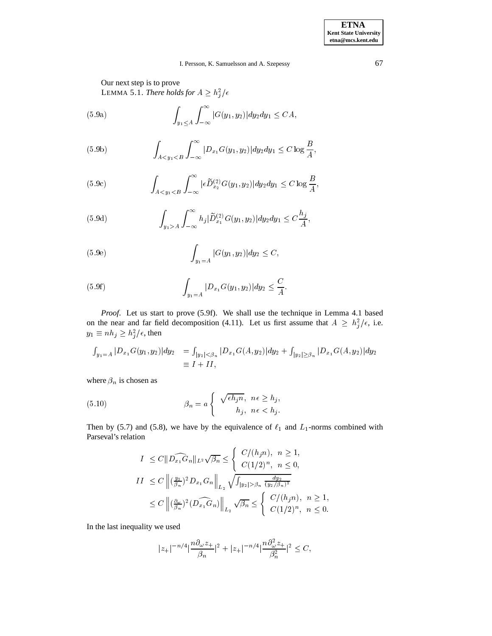Our next step is to prove LEMMA 5.1. *There holds for*  $A \geq h_j^2/\epsilon$ 

(5.9a) 
$$
\int_{y_1 \le A} \int_{-\infty}^{\infty} |G(y_1, y_2)| dy_2 dy_1 \le CA,
$$

(5.9b) 
$$
\int_{A < y_1 < B} \int_{-\infty}^{\infty} |D_{x_1}G(y_1, y_2)| dy_2 dy_1 \leq C \log \frac{B}{A},
$$

(5.9c) 
$$
\int_{A < y_1 < B} \int_{-\infty}^{\infty} |\epsilon \widetilde{D}_{x_2}^{(2)} G(y_1, y_2)| dy_2 dy_1 \leq C \log \frac{B}{A},
$$

(5.9d) 
$$
\int_{y_1 > A} \int_{-\infty}^{\infty} h_j |\widetilde{D}_{x_1}^{(2)} G(y_1, y_2)| dy_2 dy_1 \leq C \frac{h_j}{A},
$$

(5.9e) 
$$
\int_{y_1=A} |G(y_1, y_2)| dy_2 \leq C,
$$

(5.9f) 
$$
\int_{y_1=A} |D_{x_1}G(y_1, y_2)| dy_2 \leq \frac{C}{A}.
$$

*Proof*. Let us start to prove (5.9f). We shall use the technique in Lemma 4.1 based on the near and far field decomposition (4.11). Let us first assume that  $A \geq h_i^2/\epsilon$ , i.e.  $y_1 \equiv nh_j \geq h_j^2/\epsilon$ , then

$$
\int_{y_1=A} |D_{x_1}G(y_1, y_2)| dy_2 = \int_{|y_2| < \beta_n} |D_{x_1}G(A, y_2)| dy_2 + \int_{|y_2| \ge \beta_n} |D_{x_1}G(A, y_2)| dy_2
$$
  
\n
$$
\equiv I + II,
$$

where  $\beta_n$  is chosen as

(5.10) 
$$
\beta_n = a \begin{cases} \sqrt{\epsilon h_j n}, & n \epsilon \ge h_j, \\ h_j, & n \epsilon < h_j. \end{cases}
$$

Then by (5.7) and (5.8), we have by the equivalence of  $\ell_1$  and  $L_1$ -norms combined with Parseval's relation

$$
I \leq C \|\widehat{D_{x_1}G_n}\|_{L^2} \sqrt{\beta_n} \leq \begin{cases} C/(h_j n), & n \geq 1, \\ C(1/2)^n, & n \leq 0, \end{cases}
$$
  
\n
$$
II \leq C \left\| \left(\frac{y_2}{\beta_n}\right)^2 D_{x_1}G_n \right\|_{L_2} \sqrt{\int_{|y_2| > \beta_n} \frac{dy_2}{(y_2/\beta_n)^2}} \leq C \left\| \left(\frac{\beta_w}{\beta_n}\right)^2 (\widehat{D_{x_1}G_n}) \right\|_{L_2} \sqrt{\beta_n} \leq \begin{cases} C/(h_j n), & n \geq 1, \\ C(1/2)^n, & n \leq 0. \end{cases}
$$

In the last inequality we used

$$
|z_+|^{-n/4}|\frac{n\partial_{\omega} z_+}{\beta_n}|^2+|z_+|^{-n/4}|\frac{n\partial_{\omega}^2 z_+}{\beta_n^2}|^2\leq C,
$$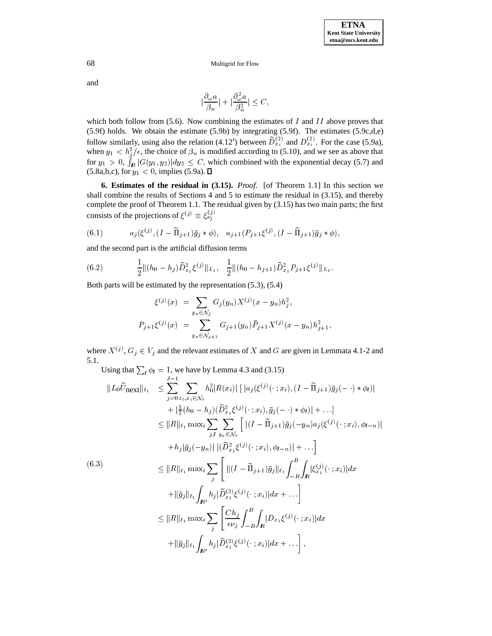and

$$
|\frac{\partial_\omega a}{\beta_n}|+|\frac{\partial_\omega^2 a}{\beta_n^2}|\leq C,
$$

which both follow from (5.6). Now combining the estimates of  $I$  and  $II$  above proves that (5.9f) holds. We obtain the estimate (5.9b) by integrating (5.9f). The estimates (5.9c,d,e) follow similarly, using also the relation (4.12') between  $D_{x_i}^{(2)}$  and  $D_{x_i}^{(2)}$ . For the case (5.9a), when  $y_1 < h_i^2/\epsilon$ , the choice of  $\beta_n$  is modified according to (5.10), and we see as above that for  $y_1 > 0$ ,  $\int_{\mathbb{R}} |G(y_1, y_2)| dy_2 \leq C$ , which combined with the exponential decay (5.7) and (5.8a,b,c), for  $y_1 < 0$ , implies (5.9a).  $\square$ 

**6. Estimates of the residual in (3.15).** *Proof*. [of Theorem 1.1] In this section we shall combine the results of Sections 4 and 5 to estimate the residual in (3.15), and thereby complete the proof of Theorem 1.1. The residual given by (3.15) has two main parts; the first consists of the projections of  $\xi^{(j)} \equiv \xi_{\nu_j}^{(j)}$ 

(6.1) 
$$
a_j(\xi^{(j)},(I-\widetilde{\Pi}_{j+1})\bar{g}_j*\phi), a_{j+1}(P_{j+1}\xi^{(j)},(I-\widetilde{\Pi}_{j+1})\bar{g}_j*\phi),
$$

and the second part is the artificial diffusion terms

(6.2) 
$$
\frac{1}{2} \|(h_0 - h_j) \widetilde{D}_{x_1}^2 \xi^{(j)} \|_{L_1}, \quad \frac{1}{2} \|(h_0 - h_{j+1}) \widetilde{D}_{x_1}^2 P_{j+1} \xi^{(j)} \|_{L_1}.
$$

Both parts will be estimated by the representation (5.3), (5.4)

$$
\xi^{(j)}(x) = \sum_{y_n \in \mathcal{N}_j} G_j(y_n) X^{(j)}(x - y_n) h_j^2,
$$
  

$$
P_{j+1} \xi^{(j)}(x) = \sum_{y_n \in \mathcal{N}_{j+1}} G_{j+1}(y_n) \bar{P}_{j+1} X^{(j)}(x - y_n) h_{j+1}^2,
$$

where  $X^{(j)}$ ,  $G_i \in V_i$  and the relevant estimates of X and G are given in Lemmata 4.1-2 and 5.1.

Using that 
$$
\sum_{l} \phi_{l} = 1
$$
, we have by Lemma 4.3 and (3.15)  
\n
$$
||L_{0}\widetilde{U}_{\text{next}}||_{\ell_{1}} \leq \sum_{j=0}^{J-1} \sum_{x_{l}, x_{i} \in \mathcal{N}_{0}} h_{0}^{2} |R(x_{i})| [|a_{j}(\xi^{(j)}(\cdot; x_{i}), (I - \widetilde{\Pi}_{j+1})\overline{g}_{j}(-\cdot) * \phi_{l})| \n+ |\frac{1}{2}(h_{0} - h_{j})(\widetilde{D}_{x_{1}}^{2}\xi^{(j)}(\cdot; x_{i}), \overline{g}_{j}(-\cdot) * \phi_{l})| + \dots] \n\leq ||R||_{\ell_{1}} \max_{i} \sum_{j,l} \sum_{y_{n} \in \mathcal{N}_{0}} [|(I - \widetilde{\Pi}_{j+1})\overline{g}_{j}(-y_{n})a_{j}(\xi^{(j)}(\cdot; x_{i}), \phi_{l-n})| \n+ h_{j}|\overline{g}_{j}(-y_{n})| |(\widetilde{D}_{x_{1}}^{2}\xi^{(j)}(\cdot; x_{i}), \phi_{l-n})| + \dots] \n(6.3)
$$
\n
$$
\leq ||R||_{\ell_{1}} \max_{i} \sum_{j} [||(I - \widetilde{\Pi}_{j+1})\overline{g}_{j}||_{\ell_{1}} \int_{-B}^{B} \int_{R} |\xi_{x_{1}}^{(j)}(\cdot; x_{i})| dx \n+ ||\overline{g}_{j}||_{\ell_{1}} \int_{R^{2}} h_{j} |\widetilde{D}_{x_{1}}^{(2)}\xi^{(j)}(\cdot; x_{i})| dx + \dots] \n\leq ||R||_{\ell_{1}} \max_{i} \sum_{j} \frac{Ch_{j}}{\epsilon v_{j}} \int_{-B}^{B} \int_{R} |D_{x_{1}}\xi^{(j)}(\cdot; x_{i})| dx \n+ ||\overline{g}_{j}||_{\ell_{1}} \int_{R^{2}} h_{j} |\widetilde{D}_{x_{1}}^{(2)}\xi^{(j)}(\cdot; x_{i})| dx + \dots],
$$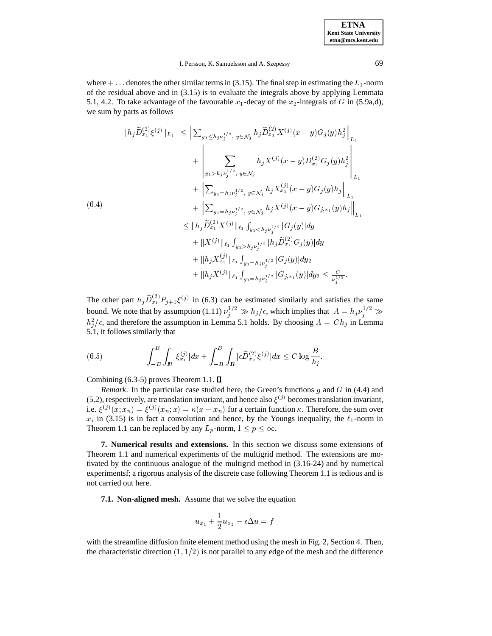<sup>j</sup>

#### I. Persson, K. Samuelsson and A. Szepessy 69

where  $+ \dots$  denotes the other similar terms in (3.15). The final step in estimating the  $L_1$ -norm of the residual above and in (3.15) is to evaluate the integrals above by applying Lemmata 5.1, 4.2. To take advantage of the favourable  $x_1$ -decay of the  $x_2$ -integrals of G in (5.9a,d), we sum by parts as follows

$$
||h_{j}\widetilde{D}_{x_{1}}^{(2)}\xi^{(j)}||_{L_{1}} \leq ||\sum_{y_{1}\leq h_{j}\nu_{j}^{1/2}, y\in \mathcal{N}_{j}} h_{j}\widetilde{D}_{x_{1}}^{(2)}X^{(j)}(x-y)G_{j}(y)h_{j}^{2}||_{L_{1}}+\left\Vert \sum_{y_{1}>h_{j}\nu_{j}^{1/2}, y\in \mathcal{N}_{j}} h_{j}X^{(j)}(x-y)D_{x_{1}}^{(2)}G_{j}(y)h_{j}^{2}||_{L_{1}}+\left\Vert \sum_{y_{1}=h_{j}\nu_{j}^{1/2}, y\in \mathcal{N}_{j}} h_{j}X_{x_{1}}^{(j)}(x-y)G_{j}(y)h_{j}\right\Vert_{L_{1}}+\left\Vert \sum_{y_{1}=h_{j}\nu_{j}^{1/2}, y\in \mathcal{N}_{j}} h_{j}X^{(j)}(x-y)G_{j,x_{1}}(y)h_{j}\right\Vert_{L_{1}}\leq ||h_{j}\widetilde{D}_{x_{1}}^{(2)}X^{(j)}||_{\ell_{1}}\int_{y_{1}h_{j}\nu_{j}^{1/2}}|h_{j}\widetilde{D}_{x_{1}}^{(2)}G_{j}(y)|dy+\|h_{j}X_{x_{1}}^{(j)}||_{\ell_{1}}\int_{y_{1}=h_{j}\nu_{j}^{1/2}}|G_{j}(y)|dy+\|h_{j}X^{(j)}||_{\ell_{1}}\int_{y_{1}=h_{j}\nu_{j}^{1/2}}|G_{j,x_{1}}(y)|dy\leq \frac{C}{\nu_{i}^{1/2}}.
$$

The other part  $h_j D_{x_1}^{(2)} P_{j+1} \xi^{(j)}$  in (6.3) can be estimated similarly and satisfies the same bound. We note that by assumption  $(1.11) \nu_j^{1/2} \gg h_j/\epsilon$ , which implies that  $A = h_j \nu_j^{1/2} \gg$  $h_j^2/\epsilon$ , and therefore the assumption in Lemma 5.1 holds. By choosing  $A = Ch_j$  in Lemma 5.1, it follows similarly that

(6.5) 
$$
\int_{-B}^{B} \int_{I\!\!R} |\xi_{x_1}^{(j)}| dx + \int_{-B}^{B} \int_{I\!\!R} |\epsilon \widetilde{D}_{x_2}^{(2)} \xi^{(j)}| dx \leq C \log \frac{B}{h_j}.
$$

Combining (6.3-5) proves Theorem 1.1.  $\square$ 

*Remark*. In the particular case studied here, the Green's functions g and G in (4.4) and (5.2), respectively, are translation invariant, and hence also  $\xi^{(j)}$  becomes translation invariant, i.e.  $\xi^{(j)}(x; x_n) = \xi^{(j)}(x_n; x) = \kappa(x - x_n)$  for a certain function  $\kappa$ . Therefore, the sum over  $x_i$  in (3.15) is in fact a convolution and hence, by the Youngs inequality, the  $\ell_1$ -norm in Theorem 1.1 can be replaced by any  $L_p$ -norm,  $1 \le p \le \infty$ .

**7. Numerical results and extensions.** In this section we discuss some extensions of Theorem 1.1 and numerical experiments of the multigrid method. The extensions are motivated by the continuous analogue of the multigrid method in (3.16-24) and by numerical experimentsf; a rigorous analysis of the discrete case following Theorem 1.1 is tedious and is not carried out here.

**7.1. Non-aligned mesh.** Assume that we solve the equation

$$
u_{x_1}+\frac{1}{2}u_{x_2}-\epsilon\Delta u=f
$$

with the streamline diffusion finite element method using the mesh in Fig. 2, Section 4. Then, the characteristic direction  $(1, 1/2)$  is not parallel to any edge of the mesh and the difference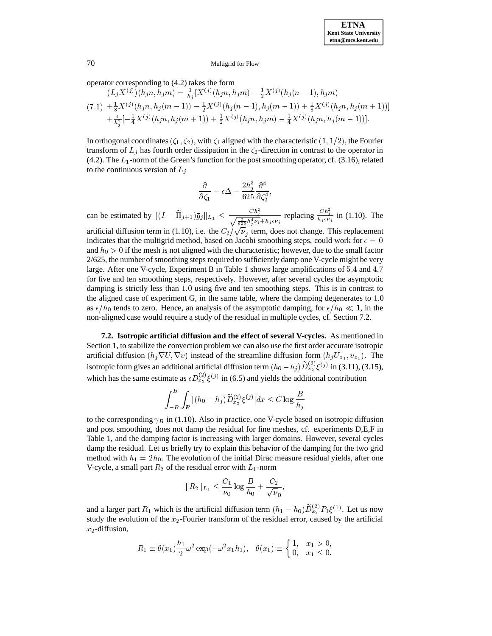operator corresponding to (4.2) takes the form

je poznata u predstavanje poznata u predstavanje poznata u predstavanje poznata u predstavanje poznata u preds

$$
(L_j X^{(j)})(h_j n, h_j m) = \frac{1}{h_j} [X^{(j)}(h_j n, h_j m) - \frac{1}{2} X^{(j)}(h_j (n-1), h_j m)
$$
  
(7.1) 
$$
+ \frac{1}{8} X^{(j)}(h_j n, h_j (m-1)) - \frac{1}{2} X^{(j)}(h_j (n-1), h_j (m-1)) + \frac{1}{8} X^{(j)}(h_j n, h_j (m+1))]
$$
  

$$
+ \frac{\epsilon}{h_j^2} [-\frac{1}{4} X^{(j)}(h_j n, h_j (m+1)) + \frac{1}{2} X^{(j)}(h_j n, h_j m) - \frac{1}{4} X^{(j)}(h_j n, h_j (m-1))].
$$

In orthogonal coordinates  $(\zeta_1, \zeta_2)$ , with  $\zeta_1$  aligned with the characteristic  $(1, 1/2)$ , the Fourier transform of  $L_j$  has fourth order dissipation in the  $\zeta_2$ -direction in contrast to the operator in (4.2). The  $L_1$ -norm of the Green's function for the post smoothing operator, cf. (3.16), related to the continuous version of  $L_j$ 

$$
\frac{\partial}{\partial \zeta_1}-\epsilon\Delta-\frac{2h_j^3}{625}\frac{\partial^4}{\partial \zeta_2^4},
$$

can be estimated by  $||(I - \Pi_{j+1})\bar{g}_j||_{L_1} \leq \frac{Cn_j}{\sqrt{2\pi i}}$  $rac{C h_j^2}{\sqrt{\frac{2}{625} h_j^4 \nu_j + h_j \epsilon \nu_j}}$  replacing  $rac{C h_j^2}{h_j \epsilon \nu_j}$  in (1.10). The artificial diffusion term in (1.10), i.e. the  $C_2/\sqrt{\nu}_j$  term, does not change. This replacement indicates that the multigrid method, based on Jacobi smoothing steps, could work for  $\epsilon = 0$ and  $h_0 > 0$  if the mesh is not aligned with the characteristic; however, due to the small factor 2/625, the number of smoothing steps required to sufficiently damp one V-cycle might be very large. After one V-cycle, Experiment B in Table 1 shows large amplifications of 5:4 and 4:7 for five and ten smoothing steps, respectively. However, after several cycles the asymptotic damping is strictly less than 1.0 using five and ten smoothing steps. This is in contrast to the aligned case of experiment G, in the same table, where the damping degenerates to 1.0 as  $\epsilon/h_0$  tends to zero. Hence, an analysis of the asymptotic damping, for  $\epsilon/h_0 \ll 1$ , in the non-aligned case would require a study of the residual in multiple cycles, cf. Section 7.2.

**7.2. Isotropic artificial diffusion and the effect of several V-cycles.** As mentioned in Section 1, to stabilize the convection problem we can also use the first order accurate isotropic artificial diffusion  $(h_j \nabla U, \nabla v)$  instead of the streamline diffusion form  $(h_j U_{x_1}, v_{x_1})$ . The isotropic form gives an additional artificial diffusion term  $(h_0 - h_i)D_{x_2}^{(2)} \xi^{(j)}$  in (3.11), (3.15), which has the same estimate as  $\epsilon D_{x_2}^{(2)} \xi^{(j)}$  in (6.5) and yields the additional contribution

$$
\int_{-B}^B \int_{I\!\!R} |(h_0-h_j) \widetilde{D}^{(2)}_{x_2} \xi^{(j)}| dx \leq C \log \frac{B}{h_j}
$$

to the corresponding  $\gamma_B$  in (1.10). Also in practice, one V-cycle based on isotropic diffusion and post smoothing, does not damp the residual for fine meshes, cf. experiments D,E,F in Table 1, and the damping factor is increasing with larger domains. However, several cycles damp the residual. Let us briefly try to explain this behavior of the damping for the two grid method with  $h_1 = 2h_0$ . The evolution of the initial Dirac measure residual yields, after one V-cycle, a small part  $R_2$  of the residual error with  $L_1$ -norm

$$
||R_2||_{L_1} \le \frac{C_1}{\nu_0} \log \frac{B}{h_0} + \frac{C_2}{\sqrt{\nu_0}},
$$

and a larger part  $R_1$  which is the artificial diffusion term  $(h_1 - h_0)D_{x_2}^{(2)}P_1\xi^{(1)}$ . Let us now study the evolution of the  $x_2$ -Fourier transform of the residual error, caused by the artificial  $x_2$ -diffusion,

$$
R_1 \equiv \theta(x_1) \frac{h_1}{2} \omega^2 \exp(-\omega^2 x_1 h_1), \quad \theta(x_1) \equiv \begin{cases} 1, & x_1 > 0, \\ 0, & x_1 \le 0. \end{cases}
$$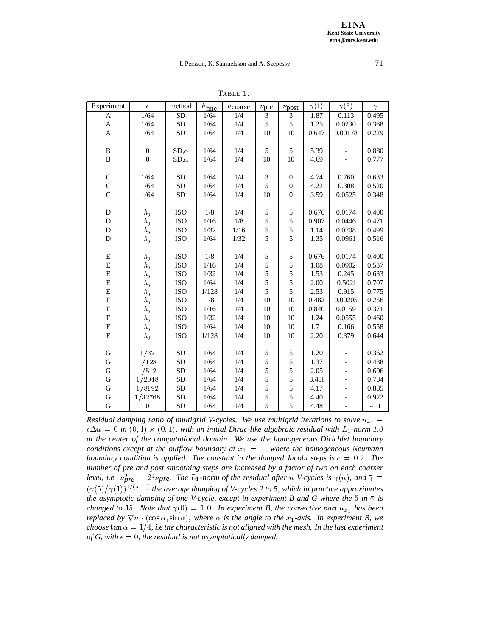| Experiment                | $\epsilon$       | method       | $h_{\underline{\text{fine}}}$ | hcoarse | $\nu$ pre | $\nu_{\text{post}}$ | $\gamma(1)$ | $\gamma(5)$              | $\bar{\gamma}$ |  |
|---------------------------|------------------|--------------|-------------------------------|---------|-----------|---------------------|-------------|--------------------------|----------------|--|
| A                         | 1/64             | <b>SD</b>    | 1/64                          | 1/4     | 3         | 3                   | 1.87        | $0.\overline{113}$       | 0.495          |  |
| $\mathbf A$               | 1/64             | ${\rm SD}$   | $1/64$                        | $1/4$   | 5         | $\sqrt{5}$          | 1.25        | 0.0230                   | 0.368          |  |
| $\mathbf{A}$              | 1/64             | SD           | 1/64                          | 1/4     | 10        | 10                  | 0.647       | 0.00178                  | 0.229          |  |
|                           |                  |              |                               |         |           |                     |             |                          |                |  |
| $\, {\bf B}$              | $\boldsymbol{0}$ | $SD, \alpha$ | $1/64$                        | 1/4     | 5         | 5                   | 5.39        |                          | 0.880          |  |
| $\, {\bf B}$              | $\boldsymbol{0}$ | $SD, \alpha$ | 1/64                          | 1/4     | 10        | 10                  | 4.69        |                          | 0.777          |  |
|                           |                  |              |                               |         |           |                     |             |                          |                |  |
| $\mathsf C$               | 1/64             | ${\rm SD}$   | 1/64                          | 1/4     | 3         | $\boldsymbol{0}$    | 4.74        | 0.760                    | 0.633          |  |
| $\mathbf C$               | 1/64             | <b>SD</b>    | 1/64                          | 1/4     | 5         | $\boldsymbol{0}$    | 4.22        | 0.308                    | 0.520          |  |
| $\overline{C}$            | 1/64             | ${\rm SD}$   | 1/64                          | 1/4     | 10        | $\mathbf{0}$        | 3.59        | 0.0525                   | 0.348          |  |
|                           |                  |              |                               |         |           |                     |             |                          |                |  |
| ${\bf D}$                 | $h_j$            | ISO          | $1/8$                         | $1/4$   | 5         | 5                   | 0.676       | 0.0174                   | 0.400          |  |
| $\mathbf D$               | $h_j$            | ISO          | $1/16$                        | $1/8$   | 5         | 5                   | 0.907       | 0.0446                   | 0.471          |  |
| $\mathbf D$               | $h_j$            | <b>ISO</b>   | $1/32$                        | $1/16$  | 5         | 5                   | 1.14        | 0.0708                   | 0.499          |  |
| ${\bf D}$                 | $h_j$            | ISO          | $1/64$                        | 1/32    | 5         | 5                   | 1.35        | 0.0961                   | 0.516          |  |
|                           |                  |              |                               |         |           |                     |             |                          |                |  |
| ${\bf E}$                 | $h_j$            | ISO          | $1/8$                         | 1/4     | 5         | $\sqrt{5}$          | 0.676       | 0.0174                   | 0.400          |  |
| ${\bf E}$                 | $h_j$            | ISO          | $1/16$                        | 1/4     | 5         | $\sqrt{5}$          | 1.08        | 0.0902                   | 0.537          |  |
| ${\bf E}$                 | $h_j$            | <b>ISO</b>   | 1/32                          | 1/4     | 5         | 5                   | 1.53        | 0.245                    | 0.633          |  |
| ${\bf E}$                 | $h_j$            | ISO          | 1/64                          | 1/4     | 5         | 5                   | 2.00        | 0.5021                   | 0.707          |  |
| ${\bf E}$                 | $h_j$            | ISO          | 1/128                         | $1/4$   | 5         | 5                   | 2.53        | 0.915                    | 0.775          |  |
| $\boldsymbol{\mathrm{F}}$ | $h_j$            | ISO          | $1/8$                         | $1/4$   | $10\,$    | 10                  | 0.482       | 0.00205                  | 0.256          |  |
| ${\bf F}$                 | $h_j$            | ISO          | $1/16$                        | 1/4     | 10        | 10                  | 0.840       | 0.0159                   | 0.371          |  |
| ${\bf F}$                 | $h_j$            | ISO          | $1/32$                        | 1/4     | 10        | 10                  | 1.24        | 0.0555                   | 0.460          |  |
| ${\bf F}$                 | $h_j$            | ISO          | 1/64                          | 1/4     | 10        | 10                  | 1.71        | 0.166                    | 0.558          |  |
| $\overline{F}$            | $h_j$            | <b>ISO</b>   | 1/128                         | 1/4     | 10        | 10                  | 2.20        | 0.379                    | 0.644          |  |
|                           |                  |              |                               |         |           |                     |             |                          |                |  |
| ${\bf G}$                 | 1/32             | ${\rm SD}$   | 1/64                          | 1/4     | 5         | 5                   | 1.20        | $\overline{\phantom{0}}$ | 0.362          |  |
| $\mathbf G$               | 1/128            | SD           | 1/64                          | 1/4     | 5         | 5                   | 1.37        | $\frac{1}{2}$            | 0.438          |  |
| $\mathbf G$               | 1/512            | SD           | 1/64                          | 1/4     | 5         | 5                   | 2.05        | $\qquad \qquad \Box$     | 0.606          |  |
| $\mathbf G$               | 1/2048           | ${\rm SD}$   | $1/64$                        | 1/4     | 5         | 5                   | 3.451       |                          | 0.784          |  |
| ${\bf G}$                 | 1/8192           | SD           | 1/64                          | 1/4     | 5         | 5                   | 4.17        |                          | 0.885          |  |
| ${\bf G}$                 | 1/32768          | ${\rm SD}$   | $1/64$                        | 1/4     | 5         | 5                   | 4.40        |                          | 0.922          |  |
| $\mathbf G$               | $\boldsymbol{0}$ | ${\rm SD}$   | $1/64$                        | 1/4     | 5         | 5                   | 4.48        |                          | $\sim 1$       |  |

*Residual damping ratio of multigrid V-cycles. We use multigrid iterations to solve*  $u_{x_1}$  –  $\epsilon \Delta u = 0$  in  $(0,1) \times (0,1)$ , with an initial Dirac-like algebraic residual with  $L_1$ -norm 1.0 *at the center of the computational domain. We use the homogeneous Dirichlet boundary conditions except at the outflow boundary at*  $x_1 = 1$ *, where the homogeneous Neumann boundary condition is applied. The constant in the damped Jacobi steps is*  $c = 0.2$ *. The number of pre and post smoothing steps are increased by a factor of two on each coarser* level, i.e.  $\nu_{\text{pre}}^j = 2^j \nu_{\text{pre}}$ . The  $L_1$ -norm of the residual after n V-cycles is  $\gamma(n)$ , and  $\bar{\gamma} \equiv$  $(\gamma(5)/\gamma(1))$ <sup>1/(5-1)</sup> the average damping of V-cycles 2 to 5, which in practice approximates *the asymptotic damping of one V-cycle, except in experiment B and G where the* 5 *in*  $\bar{\gamma}$  *is changed to* 15*. Note that*  $\gamma(0) = 1.0$ *. In experiment B, the convective part*  $u_{x_1}$  *has been replaced by*  $\nabla u \cdot (\cos \alpha, \sin \alpha)$ *, where*  $\alpha$  *is the angle to the*  $x_1$ *-axis. In experiment* B, we *choose* tan  $\alpha = 1/4$ , *i.e the characteristic is not aligned with the mesh. In the last experiment of G, with*  $\epsilon = 0$ *, the residual is not asymptotically damped.* 

TABLE 1.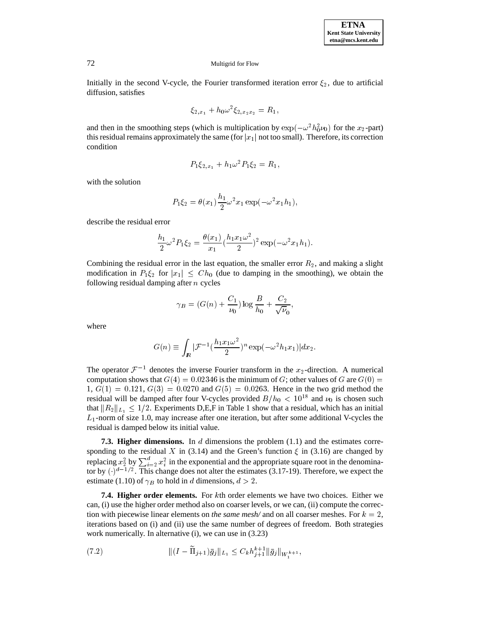Initially in the second V-cycle, the Fourier transformed iteration error  $\xi_2$ , due to artificial diffusion, satisfies

$$
\xi_{2,x_1} + h_0 \omega^2 \xi_{2,x_2x_2} = R_1,
$$

and then in the smoothing steps (which is multiplication by  $\exp(-\omega^2 h_0^2 \nu_0)$  for the  $x_2$ -part) this residual remains approximately the same (for  $|x_1|$  not too small). Therefore, its correction condition

$$
P_1 \xi_{2,x_1} + h_1 \omega^2 P_1 \xi_2 = R_1,
$$

with the solution

$$
P_1 \xi_2 = \theta(x_1) \frac{h_1}{2} \omega^2 x_1 \exp(-\omega^2 x_1 h_1),
$$

describe the residual error

$$
\frac{h_1}{2}\omega^2 P_1 \xi_2 = \frac{\theta(x_1)}{x_1} (\frac{h_1 x_1 \omega^2}{2})^2 \exp(-\omega^2 x_1 h_1).
$$

Combining the residual error in the last equation, the smaller error  $R_2$ , and making a slight modification in  $P_1\xi_2$  for  $|x_1|\leq Ch_0$  (due to damping in the smoothing), we obtain the following residual damping after  $n$  cycles

$$
\gamma_B = (G(n) + \frac{C_1}{\nu_0}) \log \frac{B}{h_0} + \frac{C_2}{\sqrt{\nu_0}},
$$

where

$$
G(n) \equiv \int_{\mathbf{R}} |\mathcal{F}^{-1}(\frac{h_1 x_1 \omega^2}{2})^n \exp(-\omega^2 h_1 x_1)| dx_2.
$$

The operator  $\mathcal{F}^{-1}$  denotes the inverse Fourier transform in the  $x_2$ -direction. A numerical computation shows that  $G(4) = 0.02346$  is the minimum of G; other values of G are  $G(0)$  $1, G(1) = 0.121, G(3) = 0.0270$  and  $G(5) = 0.0263$ . Hence in the two grid method the residual will be damped after four V-cycles provided  $B/h_0 < 10^{18}$  and  $\nu_0$  is chosen such that  $||R_2||_{L_1} \leq 1/2$ . Experiments D,E,F in Table 1 show that a residual, which has an initial  $L_1$ -norm of size 1.0, may increase after one iteration, but after some additional V-cycles the residual is damped below its initial value.

**7.3. Higher dimensions.** In d dimensions the problem (1.1) and the estimates corresponding to the residual X in (3.14) and the Green's function  $\xi$  in (3.16) are changed by replacing  $x_2^2$  by  $\sum_{i=2}^a x_i^2$  in the exponential and the appropriate square root in the denominator by  $(\cdot)^{d-1/2}$ . This change does not alter the estimates (3.17-19). Therefore, we expect the estimate (1.10) of  $\gamma_B$  to hold in d dimensions,  $d > 2$ .

**7.4. Higher order elements.** For <sup>k</sup>th order elements we have two choices. Either we can, (i) use the higher order method also on coarser levels, or we can, (ii) compute the correction with piecewise linear elements on *the same mesh/* and on all coarser meshes. For  $k = 2$ , iterations based on (i) and (ii) use the same number of degrees of freedom. Both strategies work numerically. In alternative (i), we can use in  $(3.23)$ 

(7.2) 
$$
\| (I - \Pi_{j+1}) \bar{g}_j \|_{L_1} \leq C_k h_{j+1}^{k+1} \| \bar{g}_j \|_{W^{k+1}_s},
$$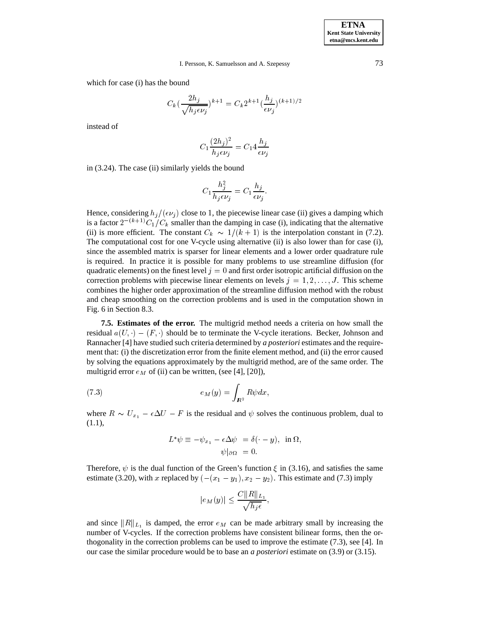which for case (i) has the bound

$$
C_k \left(\frac{2h_j}{\sqrt{h_j \epsilon \nu_j}}\right)^{k+1} = C_k 2^{k+1} \left(\frac{h_j}{\epsilon \nu_j}\right)^{(k+1)/2}
$$

instead of

$$
C_1 \frac{(2h_j)^2}{h_j \epsilon \nu_j} = C_1 4 \frac{h_j}{\epsilon \nu_j}
$$

in (3.24). The case (ii) similarly yields the bound

$$
C_1 \frac{h_j^2}{h_j \epsilon \nu_j} = C_1 \frac{h_j}{\epsilon \nu_j}.
$$

Hence, considering  $h_i/(\epsilon \nu_i)$  close to 1, the piecewise linear case (ii) gives a damping which is a factor  $2^{-(k+1)}C_1/C_k$  smaller than the damping in case (i), indicating that the alternative (ii) is more efficient. The constant  $C_k \sim 1/(k + 1)$  is the interpolation constant in (7.2). The computational cost for one V-cycle using alternative (ii) is also lower than for case (i), since the assembled matrix is sparser for linear elements and a lower order quadrature rule is required. In practice it is possible for many problems to use streamline diffusion (for quadratic elements) on the finest level  $j = 0$  and first order isotropic artificial diffusion on the correction problems with piecewise linear elements on levels  $j = 1, 2, \ldots, J$ . This scheme combines the higher order approximation of the streamline diffusion method with the robust and cheap smoothing on the correction problems and is used in the computation shown in Fig. 6 in Section 8.3.

**7.5. Estimates of the error.** The multigrid method needs a criteria on how small the residual  $a(U, \cdot) - (F, \cdot)$  should be to terminate the V-cycle iterations. Becker, Johnson and Rannacher [4] have studied such criteria determined by *a posteriori* estimates and the requirement that: (i) the discretization error from the finite element method, and (ii) the error caused by solving the equations approximately by the multigrid method, are of the same order. The multigrid error  $e_M$  of (ii) can be written, (see [4], [20]),

(7.3) 
$$
e_M(y) = \int_{\mathbb{R}^2} R\psi dx,
$$

where  $R \sim U_{x_1} - \epsilon \Delta U - F$  is the residual and  $\psi$  solves the continuous problem, dual to (1.1),

$$
L^*\psi \equiv -\psi_{x_1} - \epsilon \Delta \psi = \delta(\cdot - y), \text{ in } \Omega,
$$
  

$$
\psi|_{\partial \Omega} = 0.
$$

Therefore,  $\psi$  is the dual function of the Green's function  $\xi$  in (3.16), and satisfies the same estimate (3.20), with x replaced by  $(-(x_1 - y_1), x_2 - y_2)$ . This estimate and (7.3) imply

$$
|e_M(y)| \leq \frac{C ||R||_{L_1}}{\sqrt{h_j \epsilon}},
$$

and since  $||R||_{L_1}$  is damped, the error  $e_M$  can be made arbitrary small by increasing the number of V-cycles. If the correction problems have consistent bilinear forms, then the orthogonality in the correction problems can be used to improve the estimate (7.3), see [4]. In our case the similar procedure would be to base an *a posteriori* estimate on (3.9) or (3.15).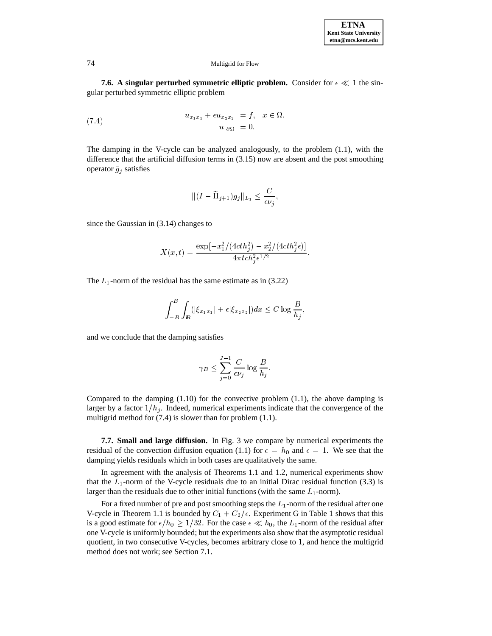**7.6. A singular perturbed symmetric elliptic problem.** Consider for  $\epsilon \ll 1$  the singular perturbed symmetric elliptic problem

(7.4) 
$$
u_{x_1x_1} + \epsilon u_{x_2x_2} = f, \quad x \in \Omega,
$$

$$
u|_{\partial\Omega} = 0.
$$

The damping in the V-cycle can be analyzed analogously, to the problem (1.1), with the difference that the artificial diffusion terms in (3.15) now are absent and the post smoothing operator  $\bar{g}_j$  satisfies

$$
\|(I-\widetilde{\Pi}_{j+1})\bar{g}_j\|_{L_1} \leq \frac{C}{\epsilon \nu_j},
$$

since the Gaussian in (3.14) changes to

$$
X(x,t) = \frac{\exp[-x_1^2/(4cth_j^2) - x_2^2/(4cth_j^2\epsilon)]}{4\pi t c h_j^2 \epsilon^{1/2}}.
$$

The  $L_1$ -norm of the residual has the same estimate as in (3.22)

$$
\int_{-B}^{B} \int_{I\!\!R} (|\xi_{x_1x_1}| + \epsilon |\xi_{x_2x_2}|) dx \le C \log \frac{B}{h_j},
$$

and we conclude that the damping satisfies

$$
\gamma_B \le \sum_{j=0}^{J-1} \frac{C}{\epsilon \nu_j} \log \frac{B}{h_j}.
$$

Compared to the damping  $(1.10)$  for the convective problem  $(1.1)$ , the above damping is larger by a factor  $1/h_i$ . Indeed, numerical experiments indicate that the convergence of the multigrid method for (7.4) is slower than for problem (1.1).

**7.7. Small and large diffusion.** In Fig. 3 we compare by numerical experiments the residual of the convection diffusion equation (1.1) for  $\epsilon = h_0$  and  $\epsilon = 1$ . We see that the damping yields residuals which in both cases are qualitatively the same.

In agreement with the analysis of Theorems 1.1 and 1.2, numerical experiments show that the  $L_1$ -norm of the V-cycle residuals due to an initial Dirac residual function (3.3) is larger than the residuals due to other initial functions (with the same  $L_1$ -norm).

For a fixed number of pre and post smoothing steps the  $L_1$ -norm of the residual after one V-cycle in Theorem 1.1 is bounded by  $C_1 + C_2/\epsilon$ . Experiment G in Table 1 shows that this is a good estimate for  $\epsilon/h_0 \geq 1/32$ . For the case  $\epsilon \ll h_0$ , the L<sub>1</sub>-norm of the residual after one V-cycle is uniformly bounded; but the experiments also show that the asymptotic residual quotient, in two consecutive V-cycles, becomes arbitrary close to <sup>1</sup>, and hence the multigrid method does not work; see Section 7.1.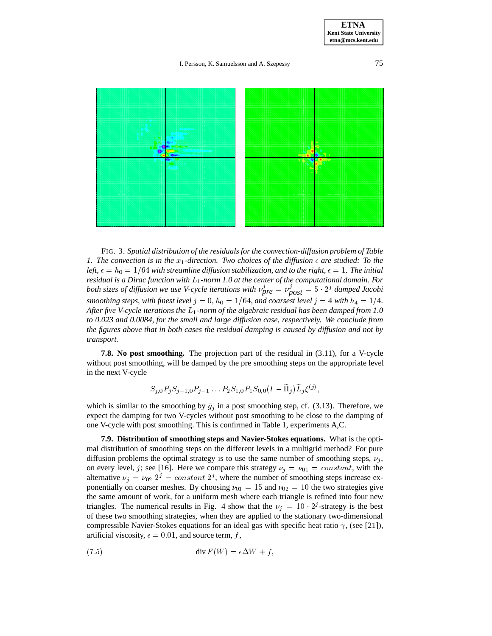**ETNA Kent State University etna@mcs.kent.edu**

## I. Persson, K. Samuelsson and A. Szepessy 75



FIG. 3. *Spatial distribution of the residuals for the convection-diffusion problem of Table 1. The convection is in the*  $x_1$ -direction. Two choices of the diffusion  $\epsilon$  are studied: To the *left,*  $\epsilon = h_0 = 1/64$  *with streamline diffusion stabilization, and to the right,*  $\epsilon = 1$ *. The initial residual is a Dirac function with* L1*-norm 1.0 at the center of the computational domain. For both sizes of diffusion we use V-cycle iterations with*  $\nu_{\text{pre}}^j = \nu_{\text{post}}^j = 5 \cdot 2^j$  *damped Jacobi smoothing steps, with finest level*  $j = 0$ ,  $h_0 = 1/64$ *, and coarsest level*  $j = 4$  *with*  $h_4 = 1/4$ *. After five V-cycle iterations the* L1*-norm of the algebraic residual has been damped from 1.0 to 0.023 and 0.0084, for the small and large diffusion case, respectively. We conclude from the figures above that in both cases the residual damping is caused by diffusion and not by transport.*

**7.8. No post smoothing.** The projection part of the residual in (3.11), for a V-cycle without post smoothing, will be damped by the pre smoothing steps on the appropriate level in the next V-cycle

$$
S_{i,0}P_iS_{i-1,0}P_{i-1}\ldots P_2S_{1,0}P_1S_{0,0}(I-\widetilde{\Pi}_i)\widetilde{L}_i\xi^{(j)},
$$

which is similar to the smoothing by  $\bar{g}_j$  in a post smoothing step, cf. (3.13). Therefore, we expect the damping for two V-cycles without post smoothing to be close to the damping of one V-cycle with post smoothing. This is confirmed in Table 1, experiments A,C.

**7.9. Distribution of smoothing steps and Navier-Stokes equations.** What is the optimal distribution of smoothing steps on the different levels in a multigrid method? For pure diffusion problems the optimal strategy is to use the same number of smoothing steps,  $\nu_i$ , on every level, j; see [16]. Here we compare this strategy  $\nu_j = \nu_{01} = constant$ , with the alternative  $\nu_j = \nu_{02} 2^j = constant 2^j$ , where the number of smoothing steps increase exponentially on coarser meshes. By choosing  $\nu_{01} = 15$  and  $\nu_{02} = 10$  the two strategies give the same amount of work, for a uniform mesh where each triangle is refined into four new triangles. The numerical results in Fig. 4 show that the  $\nu_i = 10 \cdot 2^j$ -strategy is the best of these two smoothing strategies, when they are applied to the stationary two-dimensional compressible Navier-Stokes equations for an ideal gas with specific heat ratio  $\gamma$ , (see [21]), artificial viscosity,  $\epsilon = 0.01$ , and source term, f,

$$
(7.5) \t\t\t div F(W) = \epsilon \Delta W + f,
$$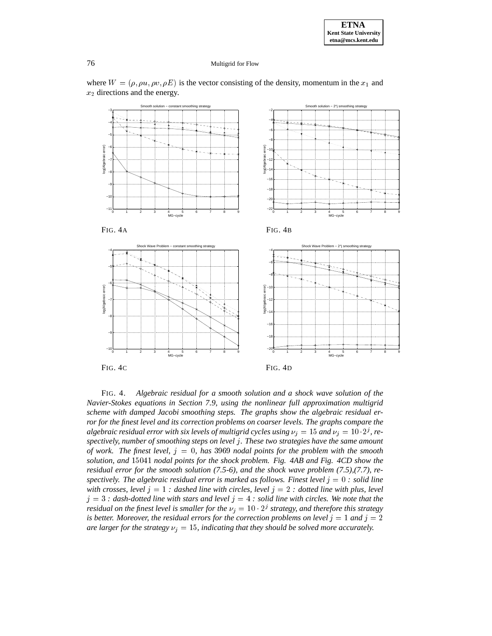

where  $W = (\rho, \rho u, \rho v, \rho E)$  is the vector consisting of the density, momentum in the  $x_1$  and  $x_2$  directions and the energy.

FIG. 4. *Algebraic residual for a smooth solution and a shock wave solution of the Navier-Stokes equations in Section 7.9, using the nonlinear full approximation multigrid scheme with damped Jacobi smoothing steps. The graphs show the algebraic residual error for the finest level and its correction problems on coarser levels. The graphs compare the* algebraic residual error with six levels of multigrid cycles using  $\nu_j = 15$  and  $\nu_j = 10 \cdot 2^j$ , re*spectively, number of smoothing steps on level* j*. These two strategies have the same amount of work. The finest level,* j <sup>=</sup> <sup>0</sup>*, has* <sup>3969</sup> *nodal points for the problem with the smooth solution, and* <sup>15041</sup> *nodal points for the shock problem. Fig. 4AB and Fig. 4CD show the residual error for the smooth solution (7.5-6), and the shock wave problem (7.5),(7.7), respectively. The algebraic residual error is marked as follows. Finest level*  $j = 0$  *: solid line with crosses, level*  $j = 1$  *: dashed line with circles, level*  $j = 2$  *: dotted line with plus, level*  $j = 3$  *: dash-dotted line with stars and level*  $j = 4$  *: solid line with circles. We note that the residual on the finest level is smaller for the*  $\nu_j = 10 \cdot 2^j$  *strategy, and therefore this strategy is better. Moreover, the residual errors for the correction problems on level*  $j = 1$  *and*  $j = 2$ *are larger for the strategy*  $\nu_i = 15$ *, indicating that they should be solved more accurately.*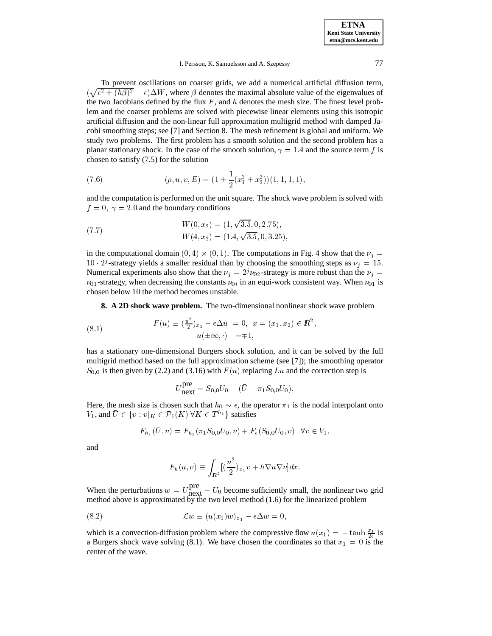To prevent oscillations on coarser grids, we add a numerical artificial diffusion term,  $(\sqrt{\epsilon^2 + (h\beta)^2} - \epsilon) \Delta W$ , where  $\beta$  denotes the maximal absolute value of the eigenvalues of the two Jacobians defined by the flux  $F$ , and  $h$  denotes the mesh size. The finest level problem and the coarser problems are solved with piecewise linear elements using this isotropic artificial diffusion and the non-linear full approximation multigrid method with damped Jacobi smoothing steps; see [7] and Section 8. The mesh refinement is global and uniform. We study two problems. The first problem has a smooth solution and the second problem has a planar stationary shock. In the case of the smooth solution,  $\gamma = 1.4$  and the source term f is chosen to satisfy (7.5) for the solution

(7.6) 
$$
(\rho, u, v, E) = (1 + \frac{1}{2}(x_1^2 + x_2^2))(1, 1, 1, 1),
$$

and the computation is performed on the unit square. The shock wave problem is solved with  $f = 0$ ,  $\gamma = 2.0$  and the boundary conditions

(7.7) 
$$
W(0, x_2) = (1, \sqrt{3.5}, 0, 2.75),
$$

$$
W(4, x_2) = (1.4, \sqrt{3.5}, 0, 3.25),
$$

in the computational domain  $(0, 4) \times (0, 1)$ . The computations in Fig. 4 show that the  $\nu_i =$  $10 \cdot 2^{j}$ -strategy yields a smaller residual than by choosing the smoothing steps as  $\nu_{i} = 15$ . Numerical experiments also show that the  $\nu_j = 2^j \nu_{02}$ -strategy is more robust than the  $\nu_j =$  $\nu_{01}$ -strategy, when decreasing the constants  $\nu_{0i}$  in an equi-work consistent way. When  $\nu_{01}$  is chosen below <sup>10</sup> the method becomes unstable.

**8. A 2D shock wave problem.** The two-dimensional nonlinear shock wave problem

(8.1) 
$$
F(u) \equiv \left(\frac{u^2}{2}\right)_{x_1} - \epsilon \Delta u = 0, \ \ x = (x_1, x_2) \in \mathbb{R}^2, u(\pm \infty, \cdot) = \mp 1,
$$

has a stationary one-dimensional Burgers shock solution, and it can be solved by the full multigrid method based on the full approximation scheme (see [7]); the smoothing operator  $S_{0,0}$  is then given by (2.2) and (3.16) with  $F(u)$  replacing Lu and the correction step is

$$
U_{\text{next}}^{\text{pre}} = S_{0,0} U_0 - (\bar{U} - \pi_1 S_{0,0} U_0).
$$

Here, the mesh size is chosen such that  $h_0 \sim \epsilon$ , the operator  $\pi_1$  is the nodal interpolant onto  $V_1$ , and  $\bar{U} \in \{v : v|_K \in \mathcal{P}_1(K) \,\forall K \in T^{h_1}\}\$  satisfies

$$
F_{h_1}(\bar{U}, v) = F_{h_1}(\pi_1 S_{0,0} U_0, v) + F_{\epsilon}(S_{0,0} U_0, v) \quad \forall v \in V_1,
$$

and

$$
F_h(u,v) \equiv \int_{I\!\!R^2} \left[\left(\frac{u^2}{2}\right)_{x_1} v + h \nabla u \nabla v\right] dx.
$$

When the perturbations  $w = U_{\text{next}}^{\text{pre}} - U_0$  become sufficiently small, the nonlinear two grid method above is approximated by the two level method (1.6) for the linearized problem

(8.2) 
$$
\mathcal{L}w \equiv (u(x_1)w)_{x_1} - \epsilon \Delta w = 0,
$$

which is a convection-diffusion problem where the compressive flow  $u(x_1) = -\tanh \frac{x_1}{2\epsilon}$  is a Burgers shock wave solving (8.1). We have chosen the coordinates so that  $x_1 = 0$  is the center of the wave.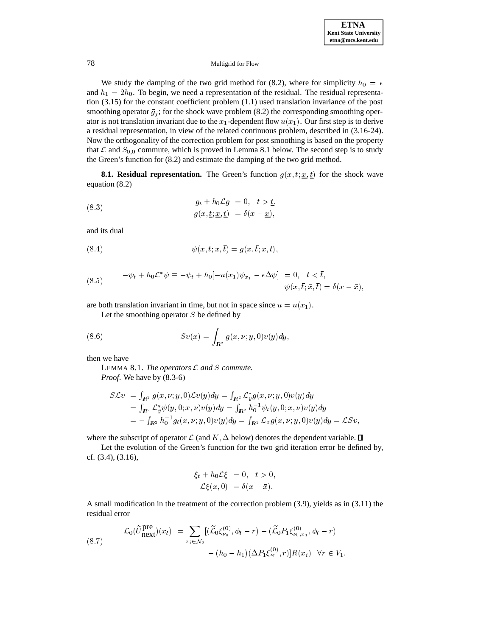We study the damping of the two grid method for (8.2), where for simplicity  $h_0 = \epsilon$ and  $h_1 = 2h_0$ . To begin, we need a representation of the residual. The residual representation (3.15) for the constant coefficient problem (1.1) used translation invariance of the post smoothing operator  $\bar{g}_i$ ; for the shock wave problem (8.2) the corresponding smoothing operator is not translation invariant due to the  $x_1$ -dependent flow  $u(x_1)$ . Our first step is to derive a residual representation, in view of the related continuous problem, described in (3.16-24). Now the orthogonality of the correction problem for post smoothing is based on the property that  $\mathcal L$  and  $S_{0,0}$  commute, which is proved in Lemma 8.1 below. The second step is to study the Green's function for (8.2) and estimate the damping of the two grid method.

**8.1. Residual representation.** The Green's function  $g(x, t; \underline{x}, \underline{t})$  for the shock wave equation (8.2)

(8.3) 
$$
g_t + h_0 \mathcal{L}g = 0, \quad t > \underline{t},
$$

$$
g(x, \underline{t}; \underline{x}, \underline{t}) = \delta(x - \underline{x}),
$$

and its dual

(8.4) 
$$
\psi(x,t,\bar{x},\bar{t}) = g(\bar{x},\bar{t},x,t),
$$

(8.5) 
$$
-\psi_t + h_0 \mathcal{L}^* \psi \equiv -\psi_t + h_0[-u(x_1)\psi_{x_1} - \epsilon \Delta \psi] = 0, \quad t < \bar{t},
$$

$$
\psi(x, \bar{t}; \bar{x}, \bar{t}) = \delta(x - \bar{x}),
$$

are both translation invariant in time, but not in space since  $u = u(x_1)$ .

Let the smoothing operator  $S$  be defined by

(8.6) 
$$
Sv(x) = \int_{R^2} g(x, \nu; y, 0) v(y) dy,
$$

then we have

LEMMA 8.1. *The operators* L *and* <sup>S</sup> *commute. Proof*. We have by (8.3-6)

**Report Following Contracts** 

$$
S\mathcal{L}v = \int_{\mathbf{R}^2} g(x, \nu; y, 0) \mathcal{L}v(y) dy = \int_{\mathbf{R}^2} \mathcal{L}_y^* g(x, \nu; y, 0) v(y) dy = \int_{\mathbf{R}^2} \mathcal{L}_y^* \psi(y, 0; x, \nu) v(y) dy = \int_{\mathbf{R}^2} h_0^{-1} \psi_t(y, 0; x, \nu) v(y) dy = - \int_{\mathbf{R}^2} h_0^{-1} g_t(x, \nu; y, 0) v(y) dy = \int_{\mathbf{R}^2} \mathcal{L}_x g(x, \nu; y, 0) v(y) dy = \mathcal{L}Sv,
$$

**Report Following Security Construction** 

where the subscript of operator  $\mathcal L$  (and  $K, \Delta$  below) denotes the dependent variable.  $\Box$ 

Let the evolution of the Green's function for the two grid iteration error be defined by, cf. (3.4), (3.16),

$$
\xi_t + h_0 \mathcal{L} \xi = 0, \quad t > 0,
$$
  

$$
\mathcal{L} \xi(x, 0) = \delta(x - \bar{x}).
$$

A small modification in the treatment of the correction problem (3.9), yields as in (3.11) the residual error

(8.7) 
$$
\mathcal{L}_0(\tilde{U}_{\text{next}}^{\text{pre}})(x_l) = \sum_{x_i \in \mathcal{N}_0} [(\tilde{\mathcal{L}}_0 \xi_{\nu_0}^{(0)}, \phi_l - r) - (\tilde{\mathcal{L}}_0 P_1 \xi_{\nu_0, x_1}^{(0)}, \phi_l - r)] - (h_0 - h_1)(\Delta P_1 \xi_{\nu_0}^{(0)}, r)] R(x_i) \quad \forall r \in V_1,
$$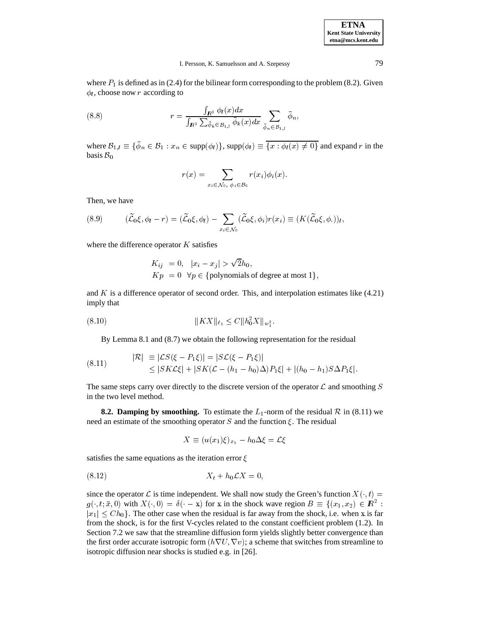**ETNA Kent State University etna@mcs.kent.edu**

where  $P_1$  is defined as in (2.4) for the bilinear form corresponding to the problem (8.2). Given  $\phi_l$ , choose now r according to

(8.8) 
$$
r = \frac{\int_{\mathbb{R}^2} \phi_l(x) dx}{\int_{\mathbb{R}^2} \sum_{\bar{\phi}_k \in \mathcal{B}_{1,l}} \bar{\phi}_k(x) dx} \sum_{\bar{\phi}_n \in \mathcal{B}_{1,l}} \bar{\phi}_n,
$$

where  $B_{1,l} \equiv \{\phi_n \in B_1 : x_n \in \text{supp}(\phi_l)\}\$ ,  $\text{supp}(\phi_l) \equiv \{x : \phi_l(x) \neq 0\}$  and expand r in the basis  $B_0$ basis  $B_0$ 

$$
r(x) = \sum_{x_i \in \mathcal{N}_0, \phi_i \in \mathcal{B}_0} r(x_i) \phi_i(x).
$$

Then, we have

(8.9) 
$$
(\widetilde{\mathcal{L}}_0\xi,\phi_l-r)=(\widetilde{\mathcal{L}}_0\xi,\phi_l)-\sum_{x_i\in\mathcal{N}_0}(\widetilde{\mathcal{L}}_0\xi,\phi_i)r(x_i)\equiv (K(\widetilde{\mathcal{L}}_0\xi,\phi.))_l,
$$

where the difference operator  $K$  satisfies

$$
K_{ij} = 0, \quad |x_i - x_j| > \sqrt{2}h_0,
$$
  
\n
$$
Kp = 0 \quad \forall p \in \{\text{polynomials of degree at most } 1\},\
$$

and  $K$  is a difference operator of second order. This, and interpolation estimates like  $(4.21)$ imply that

(8:10) kKXk`1 Ckh2 0Xkw<sup>2</sup>

By Lemma 8.1 and (8.7) we obtain the following representation for the residual

(8.11) 
$$
|\mathcal{R}| \equiv |\mathcal{L}S(\xi - P_1\xi)| = |S\mathcal{L}(\xi - P_1\xi)|
$$
  
 
$$
\leq |SK\mathcal{L}\xi| + |SK(\mathcal{L} - (h_1 - h_0)\Delta)P_1\xi| + |(h_0 - h_1)S\Delta P_1\xi|.
$$

The same steps carry over directly to the discrete version of the operator  $\mathcal L$  and smoothing  $S$ in the two level method.

**8.2. Damping by smoothing.** To estimate the  $L_1$ -norm of the residual  $\mathcal{R}$  in (8.11) we need an estimate of the smoothing operator  $S$  and the function  $\xi$ . The residual

$$
X \equiv (u(x_1)\xi)_{x_1} - h_0\Delta\xi = \mathcal{L}\xi
$$

satisfies the same equations as the iteration error  $\xi$ 

$$
(8.12) \t\t X_t + h_0 \mathcal{L} X = 0,
$$

since the operator  $\mathcal L$  is time independent. We shall now study the Green's function  $X(\cdot, t)$  =  $g(\cdot, t; \bar{x}, 0)$  with  $X(\cdot, 0) = \delta(\cdot - x)$  for x in the shock wave region  $B \equiv \{(x_1, x_2) \in \mathbb{R}^2 : |x_1| \leq Ch_0\}$ . The other case when the residual is far away from the shock, i.e. when x is far  $|x_1| \leq Ch_0$ . The other case when the residual is far away from the shock, i.e. when x is far from the shock, is for the first V-cycles related to the constant coefficient problem (1.2). In from the shock, is for the first V-cycles related to the constant coefficient problem (1.2). In Section 7.2 we saw that the streamline diffusion form yields slightly better convergence than the first order accurate isotropic form  $(h\nabla U, \nabla v)$ ; a scheme that switches from streamline to isotropic diffusion near shocks is studied e.g. in [26].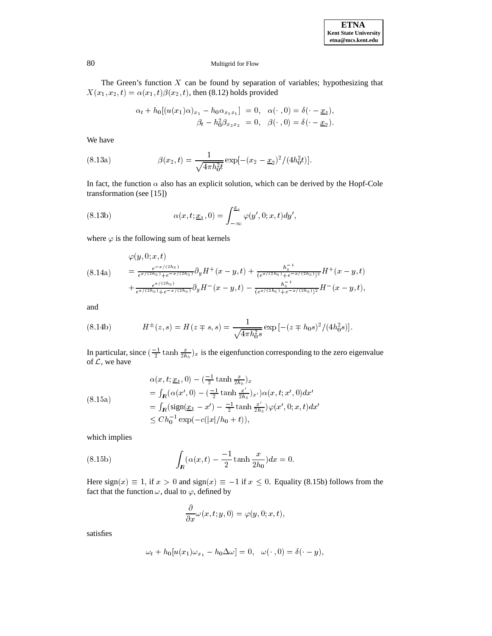The Green's function  $X$  can be found by separation of variables; hypothesizing that  $X(x_1, x_2, t) = \alpha(x_1, t)\beta(x_2, t)$ , then (8.12) holds provided

$$
\alpha_t + h_0[(u(x_1)\alpha)_{x_1} - h_0\alpha_{x_1x_1}] = 0, \quad \alpha(\cdot, 0) = \delta(\cdot - \underline{x}_1), \beta_t - h_0^2\beta_{x_2x_2} = 0, \quad \beta(\cdot, 0) = \delta(\cdot - \underline{x}_2).
$$

We have

(8.13a) 
$$
\beta(x_2, t) = \frac{1}{\sqrt{4\pi h_0^2 t}} \exp[-(x_2 - \underline{x}_2)^2/(4h_0^2 t)].
$$

In fact, the function  $\alpha$  also has an explicit solution, which can be derived by the Hopf-Cole transformation (see [15])

(8.13b) 
$$
\alpha(x, t; \underline{x}_1, 0) = \int_{-\infty}^{\underline{x}_1} \varphi(y', 0; x, t) dy',
$$

where  $\varphi$  is the following sum of heat kernels

$$
(8.14a) \qquad = \frac{e^{-x/(2h_0)}}{e^{x/(2h_0)}+e^{-x/(2h_0)}} \partial_y H^+(x-y,t) + \frac{h_0^{-1}}{(e^{x/(2h_0)}+e^{-x/(2h_0)})^2} H^+(x-y,t) + \frac{e^{x/(2h_0)}}{e^{x/(2h_0)}+e^{-x/(2h_0)}} \partial_y H^-(x-y,t) - \frac{h_0^{-1}}{(e^{x/(2h_0)}+e^{-x/(2h_0)})^2} H^-(x-y,t),
$$

and

(8.14b) 
$$
H^{\pm}(z,s) = H(z \mp s, s) = \frac{1}{\sqrt{4\pi h_0^2 s}} \exp\left[-(z \mp h_0 s)^2/(4h_0^2 s)\right].
$$

In particular, since  $(\frac{-1}{2} \tanh \frac{x}{2h_0})_x$  is the eigenfunction corresponding to the zero eigenvalue of  $\mathcal{L}$ , we have

$$
\alpha(x, t; \underline{x}_1, 0) - \left(\frac{-1}{2} \tanh \frac{x}{2h_0}\right)_{x}
$$
\n
$$
= \int_{\mathbb{R}} (\alpha(x', 0) - \left(\frac{-1}{2} \tanh \frac{x'}{2h_0}\right)_{x'}) \alpha(x, t; x', 0) dx'
$$
\n
$$
= \int_{\mathbb{R}} (\text{sign}(\underline{x}_1 - x') - \frac{-1}{2} \tanh \frac{x'}{2h_0}) \varphi(x', 0; x, t) dx'
$$
\n
$$
\leq Ch_0^{-1} \exp(-c(|x|/h_0 + t)),
$$

which implies

(8.15b) 
$$
\int_{\mathbf{R}} (\alpha(x,t) - \frac{-1}{2} \tanh \frac{x}{2h_0}) dx = 0.
$$

Here sign(x)  $\equiv 1$ , if  $x > 0$  and sign(x)  $\equiv -1$  if  $x \le 0$ . Equality (8.15b) follows from the fact that the function  $\omega$ , dual to  $\varphi$ , defined by

$$
\frac{\partial}{\partial x}\omega(x,t;y,0)=\varphi(y,0;x,t),
$$

satisfies

$$
\omega_t + h_0[u(x_1)\omega_{x_1} - h_0\Delta\omega] = 0, \quad \omega(\cdot\ ,0) = \delta(\cdot - y),
$$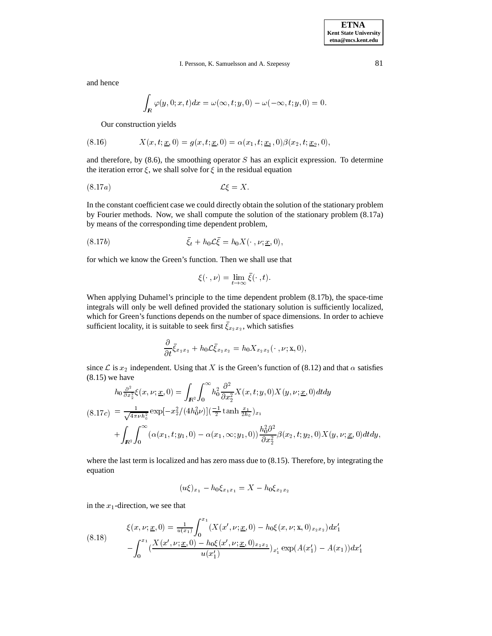and hence

$$
\int_{\mathbf{R}}\varphi(y,0;x,t)dx=\omega\left(\infty,t;y,0\right)-\omega(-\infty,t;y,0)=0.
$$

Our construction yields

(8.16) 
$$
X(x, t; \underline{x}, 0) = g(x, t; \underline{x}, 0) = \alpha(x_1, t; \underline{x}_1, 0) \beta(x_2, t; \underline{x}_2, 0),
$$

and therefore, by  $(8.6)$ , the smoothing operator S has an explicit expression. To determine the iteration error  $\xi$ , we shall solve for  $\xi$  in the residual equation

$$
(8.17a) \t\t \mathcal{L}\xi = X.
$$

In the constant coefficient case we could directly obtain the solution of the stationary problem by Fourier methods. Now, we shall compute the solution of the stationary problem (8.17a) by means of the corresponding time dependent problem,

$$
(8.17b) \qquad \qquad \bar{\xi}_t + h_0 \mathcal{L} \bar{\xi} = h_0 X(\cdot, \nu; \underline{x}, 0),
$$

for which we know the Green's function. Then we shall use that

$$
\xi(\cdot,\nu)=\lim_{t\to\infty}\bar{\xi}(\cdot,t).
$$

When applying Duhamel's principle to the time dependent problem (8.17b), the space-time integrals will only be well defined provided the stationary solution is sufficiently localized, which for Green's functions depends on the number of space dimensions. In order to achieve sufficient locality, it is suitable to seek first  $\xi_{x_2x_2}$ , which satisfies

$$
\frac{\partial}{\partial t}\bar{\xi}_{x_2x_2}+h_0\mathcal{L}\bar{\xi}_{x_2x_2}=h_0X_{x_2x_2}(\cdot,\nu;\underline{\mathbf{x}},0),
$$

since L is  $x_2$  independent. Using that X is the Green's function of (8.12) and that  $\alpha$  satisfies (8.15) we have

$$
h_0 \frac{\partial^2}{\partial x_2^2} \xi(x, \nu; \underline{x}, 0) = \int_{\mathbb{R}^2} \int_0^\infty h_0^2 \frac{\partial^2}{\partial x_2^2} X(x, t; y, 0) X(y, \nu; \underline{x}, 0) dt dy
$$
  
(8.17c) 
$$
= \frac{1}{\sqrt{4\pi \nu h_0^2}} \exp[-x_2^2/(4h_0^2 \nu)] (\frac{-1}{2} \tanh \frac{x_1}{2h_0})_{x_1}
$$

$$
+ \int_{\mathbb{R}^2} \int_0^\infty (\alpha(x_1, t; y_1, 0) - \alpha(x_1, \infty; y_1, 0)) \frac{h_0^2 \partial^2}{\partial x_2^2} \beta(x_2, t; y_2, 0) X(y, \nu; \underline{x}, 0) dt dy,
$$

where the last term is localized and has zero mass due to (8.15). Therefore, by integrating the equation

$$
(u\xi)_{x_1} - h_0 \xi_{x_1 x_1} = X - h_0 \xi_{x_2 x_2}
$$

in the  $x_1$ -direction, we see that

$$
\xi(x, \nu; \underline{x}, 0) = \frac{1}{u(x_1)} \int_0^{x_1} (X(x', \nu; \underline{x}, 0) - h_0 \xi(x, \nu; \underline{x}, 0)_{x_2 x_2}) dx'_1
$$
\n
$$
- \int_0^{x_1} \underbrace{(X(x', \nu; \underline{x}, 0) - h_0 \xi(x', \nu; \underline{x}, 0)_{x_2 x_2})}_{u(x'_1)}_{u(x'_1)} \exp(A(x'_1) - A(x_1)) dx'_1
$$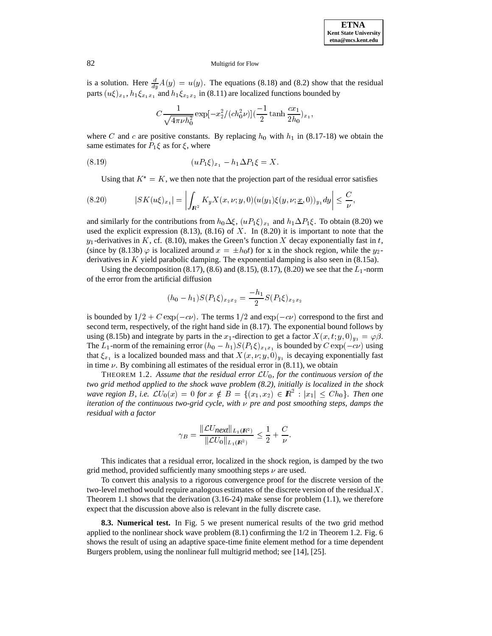is a solution. Here  $\frac{d}{du}A(y) = u(y)$ . The equations (8.18) and (8.2) show that the residual parts  $(u\xi)_{x_1}$ ,  $h_1\xi_{x_1x_1}$  and  $h_1\xi_{x_2x_2}$  in (8.11) are localized functions bounded by

$$
C\frac{1}{\sqrt{4\pi\nu h_0^2}}\exp[-x_2^2/(ch_0^2\nu)](\frac{-1}{2}\tanh\frac{cx_1}{2h_0})_{x_1},
$$

where C and c are positive constants. By replacing  $h_0$  with  $h_1$  in (8.17-18) we obtain the same estimates for  $P_1 \xi$  as for  $\xi$ , where

(8.19) 
$$
(uP_1\xi)_{x_1} - h_1\Delta P_1\xi = X.
$$

Using that  $K^* = K$ , we then note that the projection part of the residual error satisfies

$$
(8.20) \t|SK(u\xi)_{x_1}| = \left| \int_{\mathbf{R}^2} K_y X(x,\nu; y,0) (u(y_1)\xi(y,\nu; \underline{x},0))_{y_1} dy \right| \leq \frac{C}{\nu},
$$

and similarly for the contributions from  $h_0\Delta\xi$ ,  $(uP_1\xi)_{x_1}$  and  $h_1\Delta P_1\xi$ . To obtain (8.20) we used the explicit expression  $(8.13)$ ,  $(8.16)$  of X. In  $(8.20)$  it is important to note that the  $y_1$ -derivatives in K, cf. (8.10), makes the Green's function X decay exponentially fast in t, (since by (8.13b)  $\varphi$  is localized around  $x = \pm h_0 t$ ) for x in the shock region, while the y<sub>2</sub>derivatives in K yield parabolic damping. The exponential damping is also seen in (8.15a).

Using the decomposition (8.17), (8.6) and (8.15), (8.17), (8.20) we see that the  $L_1$ -norm of the error from the artificial diffusion

$$
(h_0 - h_1)S(P_1\xi)_{x_2x_2} = \frac{-h_1}{2}S(P_1\xi)_{x_2x_2}
$$

is bounded by  $1/2+C \exp(-c\nu)$ . The terms  $1/2$  and  $\exp(-c\nu)$  correspond to the first and second term, respectively, of the right hand side in (8.17). The exponential bound follows by using (8.15b) and integrate by parts in the  $x_1$ -direction to get a factor  $X(x, t; y, 0)_{y_1} = \varphi \beta$ . The L<sub>1</sub>-norm of the remaining error  $(h_0 - h_1)S(P_1 \xi)_{x_1x_1}$  is bounded by  $C \exp(-c\nu)$  using that  $\xi_{x_1}$  is a localized bounded mass and that  $X(x, \nu; y, 0)_{y_1}$  is decaying exponentially fast in time  $\nu$ . By combining all estimates of the residual error in (8.11), we obtain

THEOREM 1.2. Assume that the residual error  $\mathcal{L}U_0$ , for the continuous version of the *two grid method applied to the shock wave problem (8.2), initially is localized in the shock wave region* B, i.e.  $\mathcal{L}U_0(x) = 0$  for  $x \notin B = \{(x_1, x_2) \in \mathbb{R}^2 : |x_1| \leq Ch_0\}$ . Then one iteration of the continuous two-grid cycle, with  $\nu$  pre and post smoothing steps, damps the *iteration of the continuous two-grid cycle, with*  $\nu$  *pre and post smoothing steps, damps the residual with a factor*

$$
\gamma_B = \frac{\|\mathcal{L}U_{\text{next}}\|_{L_1(\mathbf{R}^2)}}{\|\mathcal{L}U_0\|_{L_1(\mathbf{R}^2)}} \le \frac{1}{2} + \frac{C}{\nu}.
$$

This indicates that a residual error, localized in the shock region, is damped by the two grid method, provided sufficiently many smoothing steps  $\nu$  are used.

To convert this analysis to a rigorous convergence proof for the discrete version of the two-level method would require analogous estimates of the discrete version of the residual  $X$ . Theorem 1.1 shows that the derivation (3.16-24) make sense for problem (1.1), we therefore expect that the discussion above also is relevant in the fully discrete case.

**8.3. Numerical test.** In Fig. 5 we present numerical results of the two grid method applied to the nonlinear shock wave problem  $(8.1)$  confirming the  $1/2$  in Theorem 1.2. Fig. 6 shows the result of using an adaptive space-time finite element method for a time dependent Burgers problem, using the nonlinear full multigrid method; see [14], [25].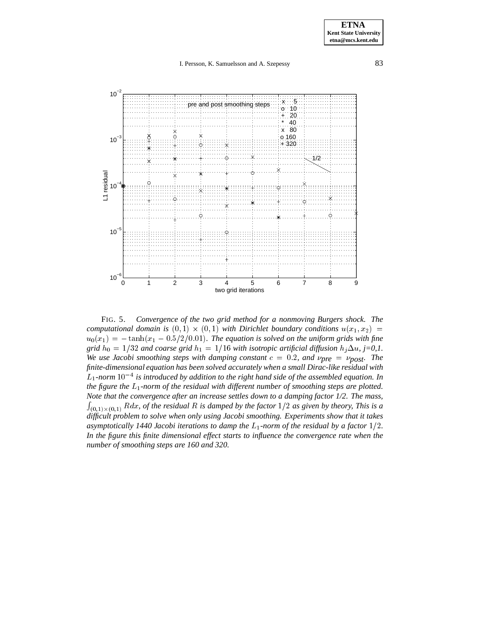

FIG. 5. *Convergence of the two grid method for a nonmoving Burgers shock. The computational domain is*  $(0,1) \times (0,1)$  *with Dirichlet boundary conditions*  $u(x_1, x_2)$  =  $u_0(x_1)=-\tanh(x_1 - 0.5/2/0.01)$ . The equation is solved on the uniform grids with fine *grid*  $h_0 = 1/32$  *and coarse grid*  $h_1 = 1/16$  *with isotropic artificial diffusion*  $h_j \Delta u$ , *j*=0,1. *We use Jacobi smoothing steps with damping constant*  $c = 0.2$ *, and*  $\nu$ *pre* =  $\nu$ *post. The finite-dimensional equation has been solved accurately when a small Dirac-like residual with*  $L_1$ -norm  $10^{-4}$  is introduced by addition to the right hand side of the assembled equation. In *the figure the* L1*-norm of the residual with different number of smoothing steps are plotted. Note that the convergence after an increase settles down to a damping factor 1/2. The mass,*  $\int_{(0,1)\times(0,1)} R dx$ , of the residual R is damped by the factor  $1/2$  as given by theory, This is a difficult problem to solve when only using Jacobi smoothing. Experiments show that it takes asymptotically 1440 Jacobi iterations to damp the  $L_1$ -norm of the residual by a factor  $1/2$ . *In the figure this finite dimensional effect starts to influence the convergence rate when the number of smoothing steps are 160 and 320.*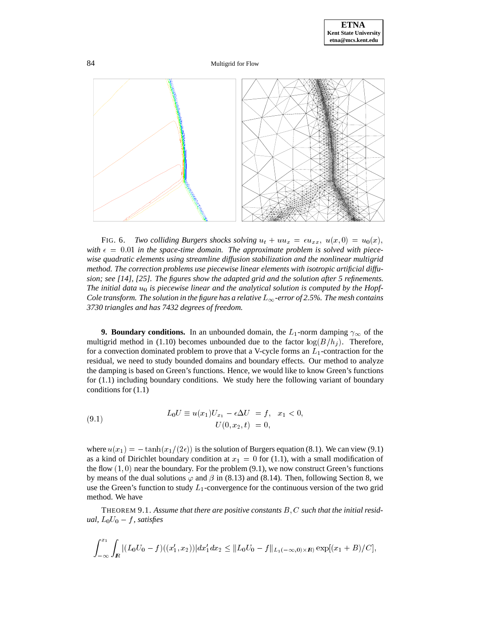

84 Multigrid for Flow



FIG. 6. *Two colliding Burgers shocks solving*  $u_t + uu_x = \epsilon u_{xx}$ ,  $u(x, 0) = u_0(x)$ , with  $\epsilon = 0.01$  in the space-time domain. The approximate problem is solved with piece*wise quadratic elements using streamline diffusion stabilization and the nonlinear multigrid method. The correction problems use piecewise linear elements with isotropic artificial diffusion; see [14], [25]. The figures show the adapted grid and the solution after 5 refinements.* The initial data  $u_0$  is piecewise linear and the analytical solution is computed by the Hopf-*Cole transform. The solution in the figure has a relative*  $L_{\infty}$ -error of 2.5%. The mesh contains *3730 triangles and has 7432 degrees of freedom.*

**9. Boundary conditions.** In an unbounded domain, the  $L_1$ -norm damping  $\gamma_\infty$  of the multigrid method in (1.10) becomes unbounded due to the factor  $\log(B/h_i)$ . Therefore, for a convection dominated problem to prove that a V-cycle forms an  $L_1$ -contraction for the residual, we need to study bounded domains and boundary effects. Our method to analyze the damping is based on Green's functions. Hence, we would like to know Green's functions for (1.1) including boundary conditions. We study here the following variant of boundary conditions for (1.1)

(9.1) 
$$
L_0 U \equiv u(x_1) U_{x_1} - \epsilon \Delta U = f, \quad x_1 < 0,
$$

$$
U(0, x_2, t) = 0,
$$

where  $u(x_1) = -\tanh(x_1/(2\epsilon))$  is the solution of Burgers equation (8.1). We can view (9.1) as a kind of Dirichlet boundary condition at  $x_1 = 0$  for (1.1), with a small modification of the flow  $(1, 0)$  near the boundary. For the problem  $(9.1)$ , we now construct Green's functions by means of the dual solutions  $\varphi$  and  $\beta$  in (8.13) and (8.14). Then, following Section 8, we use the Green's function to study  $L_1$ -convergence for the continuous version of the two grid method. We have

THEOREM 9.1. *Assume that there are positive constants* B; C *such that the initial residual,*  $L_0U_0 - f$ *, satisfies* 

$$
\int_{-\infty}^{x_1} \int_{I\!\!R} |(L_0U_0 - f)((x_1', x_2))| dx_1' dx_2 \leq ||L_0U_0 - f||_{L_1(-\infty, 0) \times I\!\!R} \exp[(x_1 + B)/C],
$$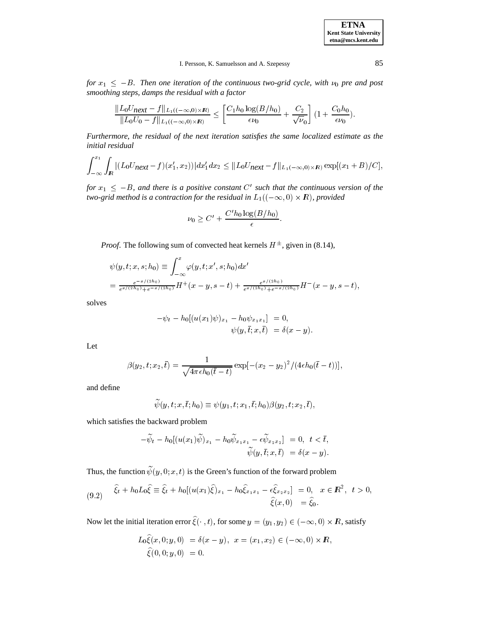**ETNA Kent State University etna@mcs.kent.edu**

## I. Persson, K. Samuelsson and A. Szepessy 85

*for*  $x_1 \leq -B$ . Then one iteration of the continuous two-grid cycle, with  $\nu_0$  pre and post *smoothing steps, damps the residual with a factor*

$$
\frac{\|L_0 U_{\text{next}} - f\|_{L_1((-\infty,0) \times \mathbb{R})}}{\|L_0 U_0 - f\|_{L_1((-\infty,0) \times \mathbb{R})}} \leq \left[\frac{C_1 h_0 \log(B/h_0)}{\epsilon \nu_0} + \frac{C_2}{\sqrt{\nu_0}}\right] (1 + \frac{C_0 h_0}{\epsilon \nu_0}).
$$

*Furthermore, the residual of the next iteration satisfies the same localized estimate as the initial residual*

$$
\int_{-\infty}^{x_1} \int_{\mathbb{R}} |(L_0 U_{\text{next}} - f)(x_1', x_2)| dx_1' dx_2 \leq ||L_0 U_{\text{next}} - f||_{L_1(-\infty, 0) \times \mathbb{R}} \exp[(x_1 + B)/C],
$$

*for*  $x_1 \leq -B$ , and there is a positive constant C' such that the continuous version of the two-grid method is a contraction for the residual in  $L_1((-\infty, 0) \times \mathbb{R})$ *, provided* 

$$
\nu_0 \ge C' + \frac{C'h_0 \log(B/h_0)}{\epsilon}.
$$

*Proof.* The following sum of convected heat kernels  $H^{\pm}$ , given in (8.14),

$$
\begin{array}{l} \psi(y,t;x,s;h_{0})\equiv\displaystyle\int_{-\infty}^{x}\varphi(y,t;x',s;h_{0})dx'\\ \displaystyle=\frac{e^{-x/(2h_{0})}}{e^{x/(2h_{0})}+e^{-x/(2h_{0})}}H^{+}(x-y,s-t)+\frac{e^{x/(2h_{0})}}{e^{x/(2h_{0})}+e^{-x/(2h_{0})}}H^{-}(x-y,s-t), \end{array}
$$

solves

$$
-\psi_t - h_0 [(u(x_1)\psi)_{x_1} - h_0 \psi_{x_1 x_1}] = 0, \n\psi(y, \bar{t}; x, \bar{t}) = \delta(x - y).
$$

Let

$$
\beta(y_2, t; x_2, \bar{t}) = \frac{1}{\sqrt{4\pi\epsilon h_0(\bar{t}-t)}} \exp[-(x_2 - y_2)^2/(4\epsilon h_0(\bar{t}-t))],
$$

and define

$$
\widetilde{\psi}(y,t;x,\bar{t};h_0)\equiv \psi(y_1,t;x_1,\bar{t};h_0)\beta(y_2,t;x_2,\bar{t}),
$$

which satisfies the backward problem

$$
-\widetilde{\psi}_t - h_0[(u(x_1)\widetilde{\psi})_{x_1} - h_0\widetilde{\psi}_{x_1x_1} - \epsilon \widetilde{\psi}_{x_2x_2}] = 0, \ t < \bar{t},
$$
  

$$
\widetilde{\psi}(y, \bar{t}; x, \bar{t}) = \delta(x - y).
$$

Thus, the function  $\widetilde{\psi}(y, 0; x, t)$  is the Green's function of the forward problem

$$
(9.2) \quad \widehat{\xi}_t + h_0 L_0 \widehat{\xi} \equiv \widehat{\xi}_t + h_0 [(u(x_1)\widehat{\xi})_{x_1} - h_0 \widehat{\xi}_{x_1x_1} - \epsilon \widehat{\xi}_{x_2x_2}] = 0, \quad x \in \mathbb{R}^2, \quad t > 0,
$$
  

$$
\widehat{\xi}(x,0) = \widehat{\xi}_0.
$$

Now let the initial iteration error  $\xi(\cdot, t)$ , for some  $y = (y_1, y_2) \in (-\infty, 0) \times \mathbb{R}$ , satisfy

$$
L_0 \hat{\xi}(x, 0; y, 0) = \delta(x - y), \quad x = (x_1, x_2) \in (-\infty, 0) \times \mathbb{R},
$$
  

$$
\hat{\xi}(0, 0; y, 0) = 0.
$$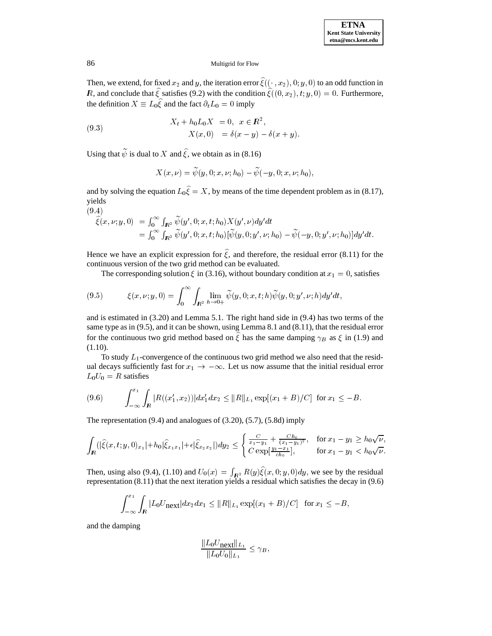Then, we extend, for fixed  $x_2$  and y, the iteration error  $\hat{\xi}((\cdot, x_2), 0; y, 0)$  to an odd function in R, and conclude that  $\hat{\xi}$  satisfies (9.2) with the condition  $\hat{\xi}((0, x_2), t; y, 0) = 0$ . Furthermore, the definition  $X \equiv L_0 \hat{\xi}$  and the fact  $\partial_t L_0 = 0$  imply

(9.3) 
$$
X_t + h_0 L_0 X = 0, \quad x \in \mathbb{R}^2,
$$

$$
X(x, 0) = \delta(x - y) - \delta(x + y).
$$

Using that  $\tilde{\psi}$  is dual to X and  $\hat{\xi}$ , we obtain as in (8.16)

$$
X(x,\nu)=\widetilde{\psi}(y,0;x,\nu;h_0)-\widetilde{\psi}(-y,0;x,\nu;h_0),
$$

and by solving the equation  $L_0\hat{\xi} = X$ , by means of the time dependent problem as in (8.17), yields

$$
(9.4)
$$

$$
\begin{aligned}\n\hat{\xi}(x,\nu;y,0) &= \int_0^\infty \int_{I\!\!R^2} \widetilde{\psi}(y',0;x,t;h_0) X(y',\nu) dy'dt \\
&= \int_0^\infty \int_{I\!\!R^2} \widetilde{\psi}(y',0;x,t;h_0) [\widetilde{\psi}(y,0;y',\nu;h_0) - \widetilde{\psi}(-y,0;y',\nu;h_0)] dy'dt.\n\end{aligned}
$$

Hence we have an explicit expression for  $\hat{\xi}$ , and therefore, the residual error (8.11) for the continuous version of the two grid method can be evaluated.

The corresponding solution  $\xi$  in (3.16), without boundary condition at  $x_1 = 0$ , satisfies

(9.5) 
$$
\xi(x,\nu;y,0) = \int_0^\infty \int_{I\!\!R^2} \lim_{h\to 0+} \widetilde{\psi}(y,0;x,t;h) \widetilde{\psi}(y,0;y',\nu;h) dy'dt,
$$

and is estimated in (3.20) and Lemma 5.1. The right hand side in (9.4) has two terms of the same type as in (9.5), and it can be shown, using Lemma 8.1 and (8.11), that the residual error for the continuous two grid method based on  $\xi$  has the same damping  $\gamma_B$  as  $\xi$  in (1.9) and (1.10).

To study  $L_1$ -convergence of the continuous two grid method we also need that the residual decays sufficiently fast for  $x_1 \rightarrow -\infty$ . Let us now assume that the initial residual error  $L_0U_0 = R$  satisfies

$$
(9.6) \qquad \int_{-\infty}^{x_1} \int_{\mathbb{R}} |R((x_1', x_2))| dx_1' dx_2 \le ||R||_{L_1} \exp[(x_1 + B)/C] \text{ for } x_1 \le -B.
$$

The representation (9.4) and analogues of (3.20), (5.7), (5.8d) imply

$$
\int_{I\!\!R} (|\widehat{\xi}(x,t;y,0)_{x_1}|+h_0|\widehat{\xi}_{x_1x_1}|+\epsilon|\widehat{\xi}_{x_2x_2}|)dy_2 \leq \begin{cases} \frac{C}{x_1-y_1} + \frac{Ch_0}{(x_1-y_1)^2}, & \text{for } x_1-y_1 \geq h_0\sqrt{\nu}, \\ C \exp[\frac{y_1-x_1}{ch_0}], & \text{for } x_1-y_1 < h_0\sqrt{\nu}. \end{cases}
$$

Then, using also (9.4), (1.10) and  $U_0(x) = \int_{\mathbb{R}^2} R(y) \xi(x, 0; y, 0) dy$ , we see by the residual representation (8.11) that the next iteration yields a residual which satisfies the decay in (9.6)

$$
\int_{-\infty}^{x_1} \int_{I\!\!R} |L_0U_{\text{next}}| dx_2 dx_1 \leq ||R||_{L_1} \exp[(x_1+B)/C] \text{ for } x_1 \leq -B,
$$

and the damping

$$
\frac{\|L_0 U_{\text{next}}\|_{L_1}}{\|L_0 U_0\|_{L_1}} \le \gamma_B,
$$